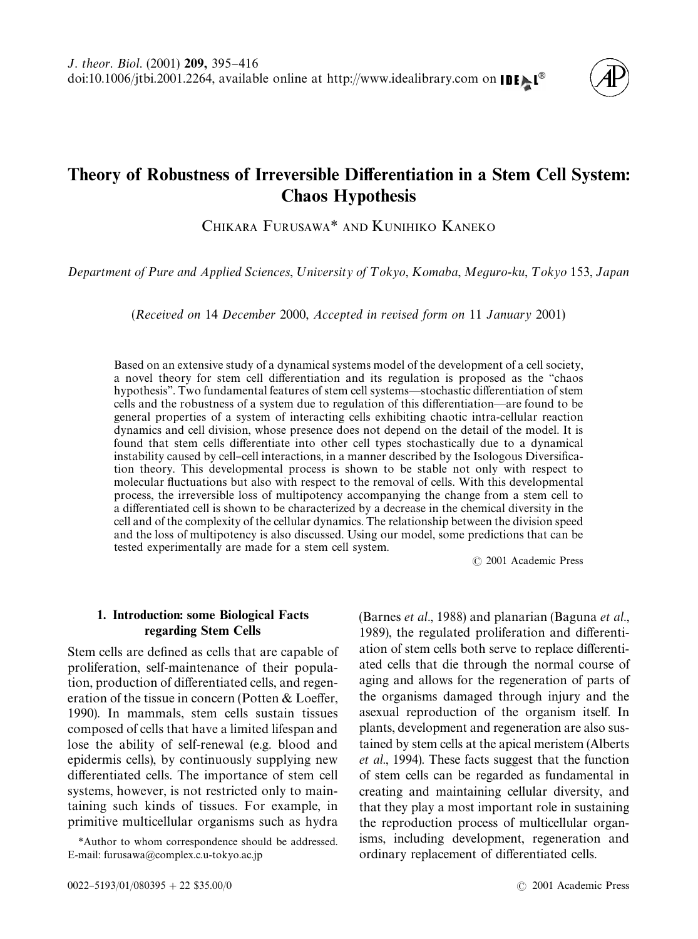# <span id="page-0-0"></span>Theory of Robustness of Irreversible Differentiation in a Stem Cell System: Chaos Hypothesis

CHIKARA FURUSAWA*\** AND KUNIHIKO KANEKO

*Department of Pure and Applied Sciences, University of Tokyo, Komaba, Meguro-ku, Tokyo 153, Japan* 

(*Received on* 14 *December* 2000, *Accepted in revised form on* 11 *January* 2001)

Based on an extensive study of a dynamical systems model of the development of a cell society, a novel theory for stem cell differentiation and its regulation is proposed as the "chaos" hypothesis". Two fundamental features of stem cell systems—stochastic differentiation of stem cells and the robustness of a system due to regulation of this differentiation—are found to be general properties of a system of interacting cells exhibiting chaotic intra-cellular reaction dynamics and cell division, whose presence does not depend on the detail of the model. It is found that stem cells differentiate into other cell types stochastically due to a dynamical instability caused by cell–cell interactions, in a manner described by the Isologous Diversification theory. This developmental process is shown to be stable not only with respect to molecular fluctuations but also with respect to the removal of cells. With this developmental process, the irreversible loss of multipotency accompanying the change from a stem cell to a differentiated cell is shown to be characterized by a decrease in the chemical diversity in the cell and of the complexity of the cellular dynamics. The relationship between the division speed and the loss of multipotency is also discussed. Using our model, some predictions that can be tested experimentally are made for a stem cell system.

( 2001 Academic Press

# 1. Introduction: some Biological Facts regarding Stem Cells

Stem cells are defined as cells that are capable of proliferation, self-maintenance of their population, production of differentiated cells, and regeneration of the tissue in concern (Potten  $& Loeffer$ , [1990\).](#page-20-0) In mammals, stem cells sustain tissues composed of cells that have a limited lifespan and lose the ability of self-renewal (e.g. blood and epidermis cells), by continuously supplying new differentiated cells. The importance of stem cell systems, however, is not restricted only to maintaining such kinds of tissues. For example, in primitive multicellular organisms such as hydra

*\**Author to whom correspondence should be addressed. E-mail: furusawa@complex.c.u-tokyo.ac.jp

[\(Barnes](#page-19-0) *et al*., 1988) and planarian [\(Baguna](#page-19-0) *et al*., [1989\),](#page-19-0) the regulated proliferation and differentiation of stem cells both serve to replace differentiated cells that die through the normal course of aging and allows for the regeneration of parts of the organisms damaged through injury and the asexual reproduction of the organism itself. In plants, development and regeneration are also sustained by stem cells at the apical meristem [\(Alberts](#page-19-0) *et al*[., 1994\).](#page-19-0) These facts suggest that the function of stem cells can be regarded as fundamental in creating and maintaining cellular diversity, and that they play a most important role in sustaining the reproduction process of multicellular organisms, including development, regeneration and ordinary replacement of differentiated cells.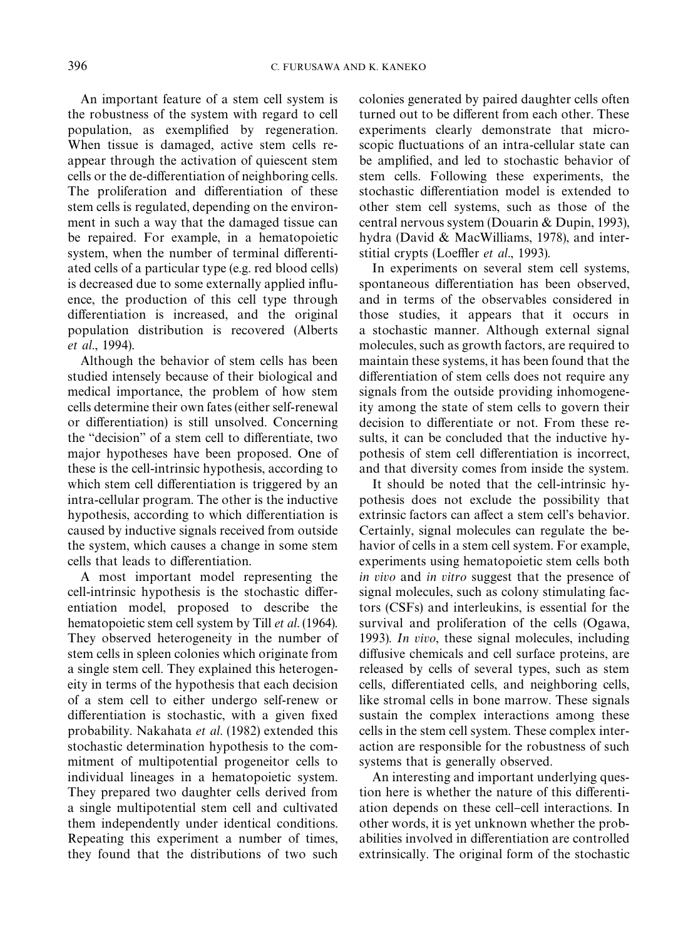An important feature of a stem cell system is the robustness of the system with regard to cell population, as exemplified by regeneration. When tissue is damaged, active stem cells reappear through the activation of quiescent stem cells or the de-differentiation of neighboring cells. The proliferation and differentiation of these stem cells is regulated, depending on the environment in such a way that the damaged tissue can be repaired. For example, in a hematopoietic system, when the number of terminal differentiated cells of a particular type (e.g. red blood cells) is decreased due to some externally applied influence, the production of this cell type through differentiation is increased, and the original population distribution is recovered [\(Alberts](#page-19-0) *et al*[., 1994\).](#page-19-0)

Although the behavior of stem cells has been studied intensely because of their biological and medical importance, the problem of how stem cells determine their own fates (either self-renewal or differentiation) is still unsolved. Concerning the "decision" of a stem cell to differentiate, two major hypotheses have been proposed. One of these is the cell-intrinsic hypothesis, according to which stem cell differentiation is triggered by an intra-cellular program. The other is the inductive hypothesis, according to which differentiation is caused by inductive signals received from outside the system, which causes a change in some stem cells that leads to differentiation.

A most important model representing the cell-intrinsic hypothesis is the stochastic differentiation model, proposed to describe the hematopoietic stem cell system by Till *et al*[. \(1964\).](#page-20-0) They observed heterogeneity in the number of stem cells in spleen colonies which originate from a single stem cell. They explained this heterogeneity in terms of the hypothesis that each decision of a stem cell to either undergo self-renew or differentiation is stochastic, with a given fixed probability. [Nakahata](#page-20-0) *et al*. (1982) extended this stochastic determination hypothesis to the commitment of multipotential progeneitor cells to individual lineages in a hematopoietic system. They prepared two daughter cells derived from a single multipotential stem cell and cultivated them independently under identical conditions. Repeating this experiment a number of times, they found that the distributions of two such

colonies generated by paired daughter cells often turned out to be different from each other. These experiments clearly demonstrate that microscopic fluctuations of an intra-cellular state can be amplified, and led to stochastic behavior of stem cells. Following these experiments, the stochastic differentiation model is extended to other stem cell systems, such as those of the central nervous system [\(Douarin & Dupin, 1993\),](#page-19-0) hydra [\(David & MacWilliams, 1978\),](#page-19-0) and interstitial crypts (Loeffler *et al.*, 1993).

In experiments on several stem cell systems, spontaneous differentiation has been observed, and in terms of the observables considered in those studies, it appears that it occurs in a stochastic manner. Although external signal molecules, such as growth factors, are required to maintain these systems, it has been found that the differentiation of stem cells does not require any signals from the outside providing inhomogeneity among the state of stem cells to govern their decision to differentiate or not. From these results, it can be concluded that the inductive hypothesis of stem cell differentiation is incorrect, and that diversity comes from inside the system.

It should be noted that the cell-intrinsic hypothesis does not exclude the possibility that extrinsic factors can affect a stem cell's behavior. Certainly, signal molecules can regulate the behavior of cells in a stem cell system. For example, experiments using hematopoietic stem cells both *in vivo* and *in vitro* suggest that the presence of signal molecules, such as colony stimulating factors (CSFs) and interleukins, is essential for the survival and proliferation of the cells [\(Ogawa,](#page-20-0) [1993\)](#page-20-0). *In vivo*, these signal molecules, including diffusive chemicals and cell surface proteins, are released by cells of several types, such as stem cells, differentiated cells, and neighboring cells, like stromal cells in bone marrow. These signals sustain the complex interactions among these cells in the stem cell system. These complex interaction are responsible for the robustness of such systems that is generally observed.

An interesting and important underlying question here is whether the nature of this differentiation depends on these cell-cell interactions. In other words, it is yet unknown whether the probabilities involved in differentiation are controlled extrinsically. The original form of the stochastic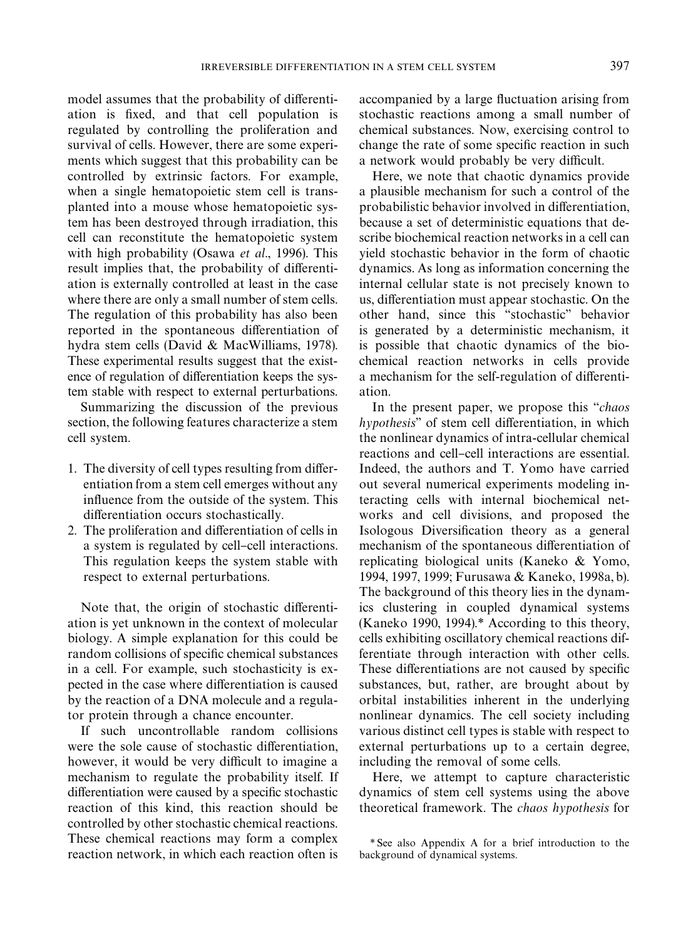model assumes that the probability of differentiation is fixed, and that cell population is regulated by controlling the proliferation and survival of cells. However, there are some experiments which suggest that this probability can be controlled by extrinsic factors. For example, when a single hematopoietic stem cell is transplanted into a mouse whose hematopoietic system has been destroyed through irradiation, this cell can reconstitute the hematopoietic system with high probability (Osawa *et al*[., 1996\).](#page-20-0) This result implies that, the probability of differentiation is externally controlled at least in the case where there are only a small number of stem cells. The regulation of this probability has also been reported in the spontaneous differentiation of hydra stem cells [\(David & MacWilliams, 1978\).](#page-19-0) These experimental results suggest that the existence of regulation of differentiation keeps the system stable with respect to external perturbations.

Summarizing the discussion of the previous section, the following features characterize a stem cell system.

- 1. The diversity of cell types resulting from differentiation from a stem cell emerges without any influence from the outside of the system. This differentiation occurs stochastically.
- 2. The proliferation and differentiation of cells in a system is regulated by cell-cell interactions. This regulation keeps the system stable with respect to external perturbations.

Note that, the origin of stochastic differentiation is yet unknown in the context of molecular biology. A simple explanation for this could be random collisions of specific chemical substances in a cell. For example, such stochasticity is expected in the case where differentiation is caused by the reaction of a DNA molecule and a regulator protein through a chance encounter.

If such uncontrollable random collisions were the sole cause of stochastic differentiation, however, it would be very difficult to imagine a mechanism to regulate the probability itself. If differentiation were caused by a specific stochastic reaction of this kind, this reaction should be controlled by other stochastic chemical reactions. These chemical reactions may form a complex reaction network, in which each reaction often is

accompanied by a large fluctuation arising from stochastic reactions among a small number of chemical substances. Now, exercising control to change the rate of some specific reaction in such a network would probably be very difficult.

Here, we note that chaotic dynamics provide a plausible mechanism for such a control of the probabilistic behavior involved in differentiation, because a set of deterministic equations that describe biochemical reaction networks in a cell can yield stochastic behavior in the form of chaotic dynamics. As long as information concerning the internal cellular state is not precisely known to us, differentiation must appear stochastic. On the other hand, since this "stochastic" behavior is generated by a deterministic mechanism, it is possible that chaotic dynamics of the biochemical reaction networks in cells provide a mechanism for the self-regulation of differentiation.

In the present paper, we propose this "*chaos hypothesis*" of stem cell differentiation, in which the nonlinear dynamics of intra-cellular chemical reactions and cell–cell interactions are essential. Indeed, the authors and T. Yomo have carried out several numerical experiments modeling interacting cells with internal biochemical networks and cell divisions, and proposed the Isologous Diversification theory as a general mechanism of the spontaneous differentiation of replicating biological units [\(Kaneko & Yomo,](#page-20-0) [1994, 1997, 1999;](#page-20-0) [Furusawa & Kaneko, 1998a,b\).](#page-19-0) The background of this theory lies in the dynamics clustering in coupled dynamical systems [\(Kaneko 1990, 1994\)](#page-20-0).*\** According to this theory, cells exhibiting oscillatory chemical reactions differentiate through interaction with other cells. These differentiations are not caused by specific substances, but, rather, are brought about by orbital instabilities inherent in the underlying nonlinear dynamics. The cell society including various distinct cell types is stable with respect to external perturbations up to a certain degree, including the removal of some cells.

Here, we attempt to capture characteristic dynamics of stem cell systems using the above theoretical framework. The *chaos hypothesis* for

*<sup>\*</sup>* See also Appendix A for a brief introduction to the background of dynamical systems.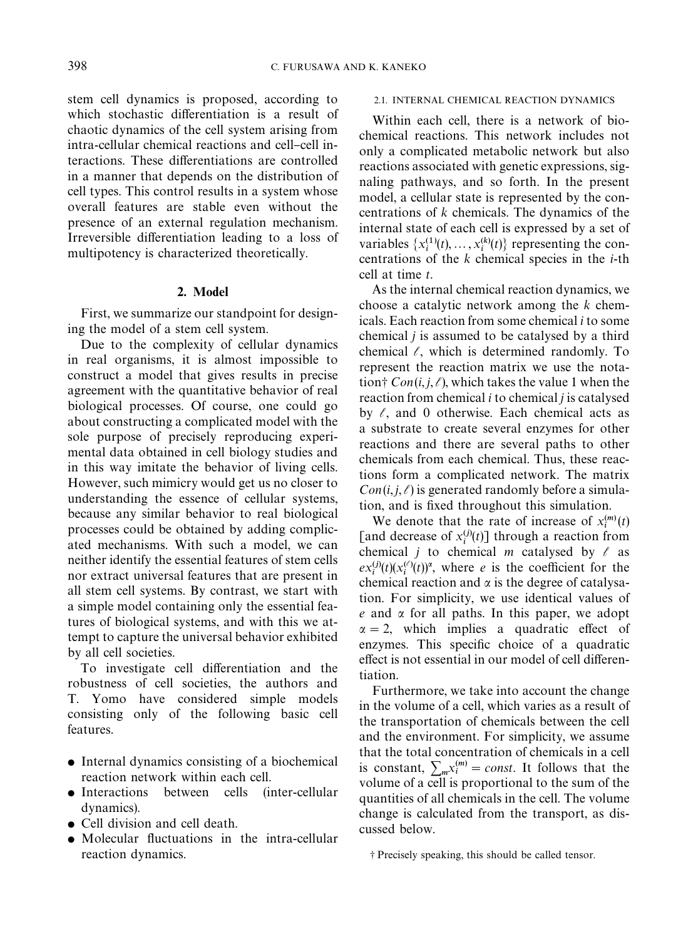stem cell dynamics is proposed, according to which stochastic differentiation is a result of chaotic dynamics of the cell system arising from intra-cellular chemical reactions and cell-cell interactions. These differentiations are controlled in a manner that depends on the distribution of cell types. This control results in a system whose overall features are stable even without the presence of an external regulation mechanism. Irreversible differentiation leading to a loss of multipotency is characterized theoretically.

### 2. Model

First, we summarize our standpoint for designing the model of a stem cell system.

Due to the complexity of cellular dynamics in real organisms, it is almost impossible to construct a model that gives results in precise agreement with the quantitative behavior of real biological processes. Of course, one could go about constructing a complicated model with the sole purpose of precisely reproducing experimental data obtained in cell biology studies and in this way imitate the behavior of living cells. However, such mimicry would get us no closer to understanding the essence of cellular systems, because any similar behavior to real biological processes could be obtained by adding complicated mechanisms. With such a model, we can neither identify the essential features of stem cells nor extract universal features that are present in all stem cell systems. By contrast, we start with a simple model containing only the essential features of biological systems, and with this we attempt to capture the universal behavior exhibited by all cell societies.

To investigate cell differentiation and the robustness of cell societies, the authors and T. Yomo have considered simple models consisting only of the following basic cell features.

- $\bullet$  Internal dynamics consisting of a biochemical reaction network within each cell.
- Interactions between cells (inter-cellular dynamics).
- quantities).<br>• Cell division and cell death.
- Cen division and cen death.<br>• Molecular fluctuations in the intra-cellular reaction dynamics.

### 2.1. INTERNAL CHEMICAL REACTION DYNAMICS

Within each cell, there is a network of biochemical reactions. This network includes not only a complicated metabolic network but also reactions associated with genetic expressions, signaling pathways, and so forth. In the present model, a cellular state is represented by the concentrations of *k* chemicals. The dynamics of the internal state of each cell is expressed by a set of internal state of each cent is expressed by a set of<br>variables  $\{x_i^{(1)}(t), \ldots, x_i^{(k)}(t)\}$  representing the concentrations of the *k* chemical species in the *i*-th cell at time *t*.

As the internal chemical reaction dynamics, we choose a catalytic network among the *k* chemicals. Each reaction from some chemical *i* to some chemical *j* is assumed to be catalysed by a third chemical  $\ell$ , which is determined randomly. To represent the reaction matrix we use the notation<sup> $\dagger$ </sup> *Con*(*i*, *j*,  $\ell$ ), which takes the value 1 when the reaction from chemical *i* to chemical *j* is catalysed by  $\ell$ , and 0 otherwise. Each chemical acts as a substrate to create several enzymes for other reactions and there are several paths to other chemicals from each chemical. Thus, these reactions form a complicated network. The matrix  $Con(i, j, \ell)$  is generated randomly before a simulation, and is fixed throughout this simulation.

We denote that the rate of increase of  $x_i^{(m)}(t)$ we denote that the rate of increase of  $x_i^{(i)}(t)$ ] through a reaction from chemical *j* to chemical *m* catalysed by  $\ell$  as  $ex_i^{(j)}(t)(x_i^{(\ell)}(t))^{\alpha}$ , where *e* is the coefficient for the  $ex_i^{(j)}(t)(x_i^{(\ell)})$ chemical reaction and  $\alpha$  is the degree of catalysation. For simplicity, we use identical values of  $e$  and  $\alpha$  for all paths. In this paper, we adopt  $\alpha = 2$ , which implies a quadratic effect of enzymes. This specific choice of a quadratic effect is not essential in our model of cell differentiation.

Furthermore, we take into account the change in the volume of a cell, which varies as a result of the transportation of chemicals between the cell and the environment. For simplicity, we assume that the total concentration of chemicals in a cell that the total concentration of chemicals in a cell<br>is constant,  $\sum_{m} x_i^{(m)} = const.$  It follows that the volume of a cell is proportional to the sum of the quantities of all chemicals in the cell. The volume change is calculated from the transport, as discussed below.

<sup>-</sup>Precisely speaking, this should be called tensor.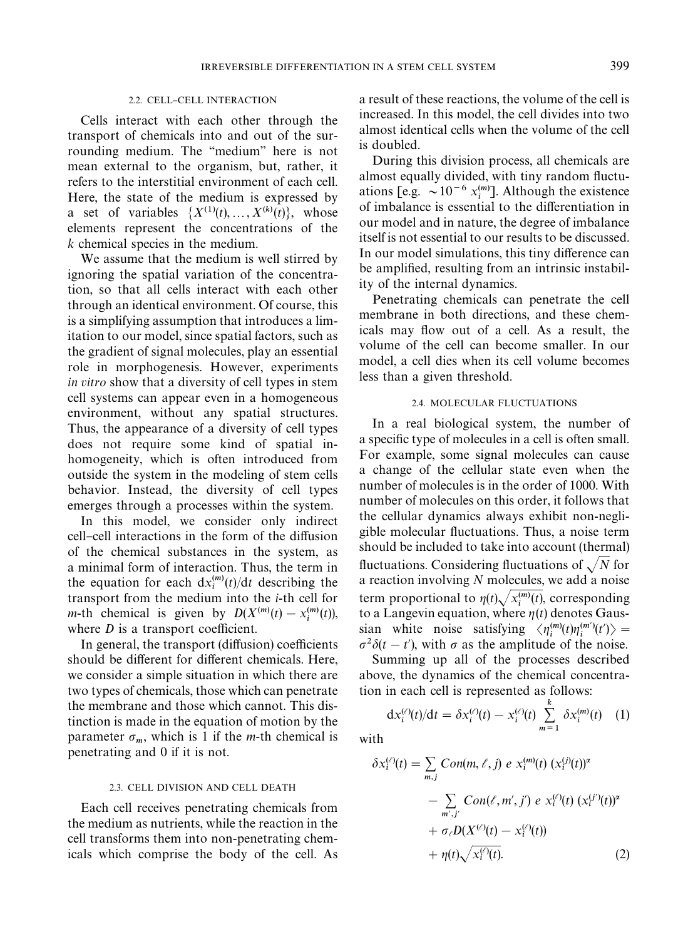### 2.2. CELL-CELL INTERACTION

<span id="page-4-0"></span>Cells interact with each other through the transport of chemicals into and out of the surrounding medium. The "medium" here is not mean external to the organism, but, rather, it refers to the interstitial environment of each cell. Here, the state of the medium is expressed by a set of variables  $\{X^{(1)}(t),..., X^{(k)}(t)\}\)$ , whose elements represent the concentrations of the *k* chemical species in the medium.

We assume that the medium is well stirred by ignoring the spatial variation of the concentration, so that all cells interact with each other through an identical environment. Of course, this is a simplifying assumption that introduces a limitation to our model, since spatial factors, such as the gradient of signal molecules, play an essential role in morphogenesis. However, experiments *in vitro* show that a diversity of cell types in stem cell systems can appear even in a homogeneous environment, without any spatial structures. Thus, the appearance of a diversity of cell types does not require some kind of spatial inhomogeneity, which is often introduced from outside the system in the modeling of stem cells behavior. Instead, the diversity of cell types emerges through a processes within the system.

In this model, we consider only indirect cell–cell interactions in the form of the diffusion of the chemical substances in the system, as a minimal form of interaction. Thus, the term in a minimal form of interaction. Thus, the term in<br>the equation for each  $dx_i^{(m)}(t)/dt$  describing the transport from the medium into the *i*-th cell for *m*-th chemical is given by  $D(X^{(m)}(t) - x_i^{(m)}(t))$ , where  $D$  is a transport coefficient.

In general, the transport (diffusion) coefficients should be different for different chemicals. Here, we consider a simple situation in which there are two types of chemicals, those which can penetrate the membrane and those which cannot. This distinction is made in the equation of motion by the parameter  $\sigma_m$ , which is 1 if the *m*-th chemical is penetrating and 0 if it is not.

### 2.3. CELL DIVISION AND CELL DEATH

Each cell receives penetrating chemicals from the medium as nutrients, while the reaction in the cell transforms them into non-penetrating chemicals which comprise the body of the cell. As

a result of these reactions, the volume of the cell is increased. In this model, the cell divides into two almost identical cells when the volume of the cell is doubled.

During this division process, all chemicals are almost equally divided, with tiny random fluctuations [e.g.  $\sim 10^{-6} x_i^{(m)}$ ]. Although the existence of imbalance is essential to the differentiation in our model and in nature, the degree of imbalance itself is not essential to our results to be discussed. In our model simulations, this tiny difference can be amplified, resulting from an intrinsic instability of the internal dynamics.

Penetrating chemicals can penetrate the cell membrane in both directions, and these chemicals may flow out of a cell. As a result, the volume of the cell can become smaller. In our model, a cell dies when its cell volume becomes less than a given threshold.

#### 2.4. MOLECULAR FLUCTUATIONS

In a real biological system, the number of a specific type of molecules in a cell is often small. For example, some signal molecules can cause a change of the cellular state even when the number of molecules is in the order of 1000. With number of molecules on this order, it follows that the cellular dynamics always exhibit non-negligible molecular fluctuations. Thus, a noise term should be included to take into account (thermal) fluctuations. Considering fluctuations of  $\sqrt{N}$  for a reaction involving *N* molecules, we add a noise a reaction involving N molecules, we add a noise<br>term proportional to  $\eta(t)\sqrt{x_i^{(m)}(t)}$ , corresponding to a Langevin equation, where  $\eta(t)$  denotes Gausio a Langevin equation, where  $\eta(t)$  denotes Gaussian white noise satisfying  $\langle \eta_i^{(m)}(t) \eta_i^{(m')}(t') \rangle =$  $\sigma^2 \delta(t - t')$ , with  $\sigma$  as the amplitude of the noise.

Summing up all of the processes described above, the dynamics of the chemical concentration in each cell is represented as follows:

$$
dx_i^{(\ell)}(t)/dt = \delta x_i^{(\ell)}(t) - x_i^{(\ell)}(t) \sum_{m=1}^k \delta x_i^{(m)}(t) \quad (1)
$$

with

$$
\begin{aligned} \n\text{th} \quad \delta x_i^{(\ell)}(t) &= \sum_{m,j} \mathit{Con}(m,\ell,j) \; e \; x_i^{(m)}(t) \; (x_i^{(j)}(t))^{\alpha} \\ \n&\quad - \sum_{m',j'} \mathit{Con}(\ell,m',j') \; e \; x_i^{(\ell)}(t) \; (x_i^{(j')}(t))^{\alpha} \\ \n&\quad + \sigma_\ell D(X^{(\ell)}(t) - x_i^{(\ell)}(t)) \\ \n&\quad + \eta(t) \sqrt{x_i^{(\ell)}(t)} . \n\end{aligned} \tag{2}
$$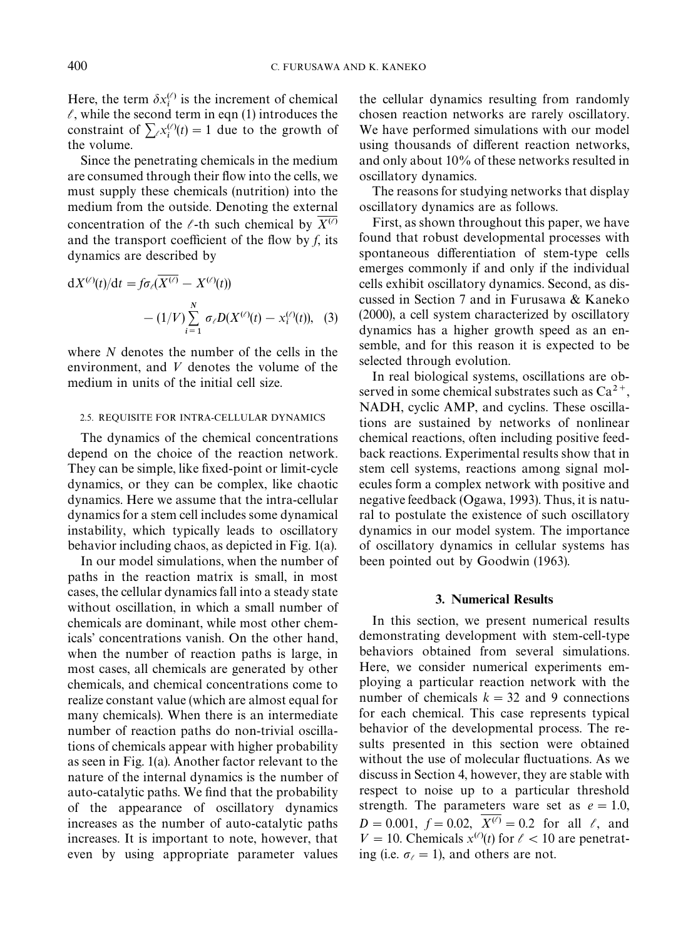Here, the term  $\delta x_i^{(\ell)}$  is the increment of chemical  $\ell$ , while the second term in [eqn \(1\)](#page-4-0) introduces the constraint of  $\sum_{i} x_i^{(i)}(t) = 1$  due to the growth of the volume.

Since the penetrating chemicals in the medium are consumed through their flow into the cells, we must supply these chemicals (nutrition) into the medium from the outside. Denoting the external concentration of the  $\ell$ -th such chemical by  $X^{(\ell)}$ and the transport coefficient of the flow by  $f$ , its dynamics are described by

$$
dX^{(\ell)}(t)/dt = f\sigma_{\ell}(X^{(\ell)} - X^{(\ell)}(t))
$$

$$
- (1/V) \sum_{i=1}^{N} \sigma_{\ell}D(X^{(\ell)}(t) - x_{i}^{(\ell)}(t)), \quad (3)
$$

where *N* denotes the number of the cells in the environment, and  $V$  denotes the volume of the medium in units of the initial cell size.

#### 2.5. REQUISITE FOR INTRA-CELLULAR DYNAMICS

The dynamics of the chemical concentrations depend on the choice of the reaction network. They can be simple, like fixed-point or limit-cycle dynamics, or they can be complex, like chaotic dynamics. Here we assume that the intra-cellular dynamics for a stem cell includes some dynamical instability, which typically leads to oscillatory behavior including chaos, as depicted in [Fig. 1\(a\).](#page-7-0)

In our model simulations, when the number of paths in the reaction matrix is small, in most cases, the cellular dynamics fall into a steady state without oscillation, in which a small number of chemicals are dominant, while most other chemicals' concentrations vanish. On the other hand, when the number of reaction paths is large, in most cases, all chemicals are generated by other chemicals, and chemical concentrations come to realize constant value (which are almost equal for many chemicals). When there is an intermediate number of reaction paths do non-trivial oscillations of chemicals appear with higher probability as seen in [Fig. 1\(a\).](#page-7-0) Another factor relevant to the nature of the internal dynamics is the number of auto-catalytic paths. We find that the probability of the appearance of oscillatory dynamics increases as the number of auto-catalytic paths increases. It is important to note, however, that even by using appropriate parameter values

the cellular dynamics resulting from randomly chosen reaction networks are rarely oscillatory. We have performed simulations with our model using thousands of different reaction networks, and only about 10% of these networks resulted in oscillatory dynamics.

The reasons for studying networks that display oscillatory dynamics are as follows.

First, as shown throughout this paper, we have found that robust developmental processes with spontaneous differentiation of stem-type cells emerges commonly if and only if the individual cells exhibit oscillatory dynamics. Second, as discussed in [Section 7](#page-16-0) and in [Furusawa & Kaneko](#page-19-0) [\(2000\),](#page-19-0) a cell system characterized by oscillatory dynamics has a higher growth speed as an ensemble, and for this reason it is expected to be selected through evolution.

In real biological systems, oscillations are observed in some chemical substrates such as  $Ca^{2+}$ , NADH, cyclic AMP, and cyclins. These oscillations are sustained by networks of nonlinear chemical reactions, often including positive feedback reactions. Experimental results show that in stem cell systems, reactions among signal molecules form a complex network with positive and negative feedback [\(Ogawa, 1993\)](#page-20-0). Thus, it is natural to postulate the existence of such oscillatory dynamics in our model system. The importance of oscillatory dynamics in cellular systems has been pointed out by [Goodwin \(1963\).](#page-19-0)

#### 3. Numerical Results

In this section, we present numerical results demonstrating development with stem-cell-type behaviors obtained from several simulations. Here, we consider numerical experiments employing a particular reaction network with the number of chemicals  $k = 32$  and 9 connections for each chemical. This case represents typical behavior of the developmental process. The results presented in this section were obtained without the use of molecular fluctuations. As we discuss in [Section 4,](#page-10-0) however, they are stable with respect to noise up to a particular threshold strength. The parameters ware set as  $e = 1.0$ ,  $D = 0.001, f = 0.02, \overline{X^{(\ell)}} = 0.2$  for all  $\ell$ , and  $V = 10$ . Chemicals  $x^{(\ell)}(t)$  for  $\ell < 10$  are penetrating (i.e.  $\sigma_{\ell} = 1$ ), and others are not.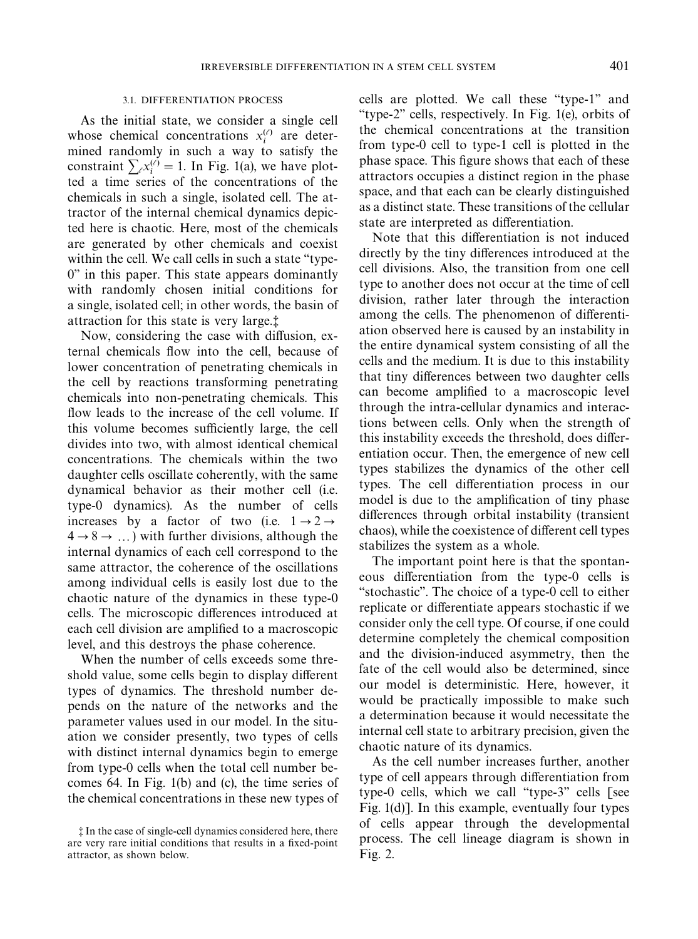As the initial state, we consider a single cell whose chemical concentrations  $x_i^{(\ell)}$  are determined randomly in such a way to satisfy the constraint  $\sum_i x_i^{(\ell)} = 1$ . In [Fig. 1\(a\),](#page-7-0) we have plotted a time series of the concentrations of the chemicals in such a single, isolated cell. The attractor of the internal chemical dynamics depicted here is chaotic. Here, most of the chemicals are generated by other chemicals and coexist within the cell. We call cells in such a state "type-0'' in this paper. This state appears dominantly with randomly chosen initial conditions for a single, isolated cell; in other words, the basin of attraction for this state is very large.<sup>†</sup>

Now, considering the case with diffusion, external chemicals flow into the cell, because of lower concentration of penetrating chemicals in the cell by reactions transforming penetrating chemicals into non-penetrating chemicals. This flow leads to the increase of the cell volume. If this volume becomes sufficiently large, the cell divides into two, with almost identical chemical concentrations. The chemicals within the two daughter cells oscillate coherently, with the same dynamical behavior as their mother cell (i.e. type-0 dynamics). As the number of cells increases by a factor of two (i.e.  $1\rightarrow2\rightarrow$  $4 \rightarrow 8 \rightarrow \ldots$ ) with further divisions, although the internal dynamics of each cell correspond to the same attractor, the coherence of the oscillations among individual cells is easily lost due to the chaotic nature of the dynamics in these type-0 cells. The microscopic differences introduced at each cell division are amplified to a macroscopic level, and this destroys the phase coherence.

When the number of cells exceeds some threshold value, some cells begin to display different types of dynamics. The threshold number depends on the nature of the networks and the parameter values used in our model. In the situation we consider presently, two types of cells with distinct internal dynamics begin to emerge from type-0 cells when the total cell number becomes 64. In [Fig. 1\(b\)](#page-7-0) and [\(c\),](#page-7-0) the time series of the chemical concentrations in these new types of

cells are plotted. We call these "type-1" and "type-2" cells, respectively. In Fig.  $1(e)$ , orbits of the chemical concentrations at the transition from type-0 cell to type-1 cell is plotted in the phase space. This figure shows that each of these attractors occupies a distinct region in the phase space, and that each can be clearly distinguished as a distinct state. These transitions of the cellular state are interpreted as differentiation.

Note that this differentiation is not induced directly by the tiny differences introduced at the cell divisions. Also, the transition from one cell type to another does not occur at the time of cell division, rather later through the interaction among the cells. The phenomenon of differentiation observed here is caused by an instability in the entire dynamical system consisting of all the cells and the medium. It is due to this instability that tiny differences between two daughter cells can become amplified to a macroscopic level through the intra-cellular dynamics and interactions between cells. Only when the strength of this instability exceeds the threshold, does differentiation occur. Then, the emergence of new cell types stabilizes the dynamics of the other cell types. The cell differentiation process in our model is due to the amplification of tiny phase differences through orbital instability (transient chaos), while the coexistence of different cell types stabilizes the system as a whole.

The important point here is that the spontaneous differentiation from the type-0 cells is "stochastic". The choice of a type-0 cell to either replicate or differentiate appears stochastic if we consider only the cell type. Of course, if one could determine completely the chemical composition and the division-induced asymmetry, then the fate of the cell would also be determined, since our model is deterministic. Here, however, it would be practically impossible to make such a determination because it would necessitate the internal cell state to arbitrary precision, given the chaotic nature of its dynamics.

As the cell number increases further, another type of cell appears through differentiation from type-0 cells, which we call "type-3" cells [see [Fig. 1\(d\)\]](#page-7-0). In this example, eventually four types of cells appear through the developmental process. The cell lineage diagram is shown in [Fig. 2.](#page-8-0)

<sup>?</sup> In the case of single-cell dynamics considered here, there are very rare initial conditions that results in a fixed-point attractor, as shown below.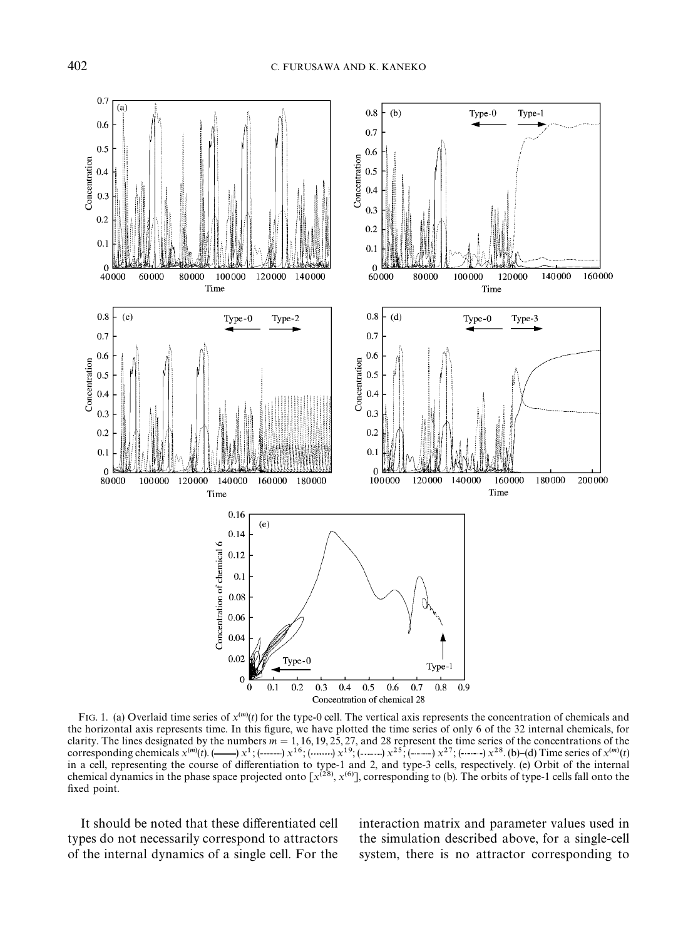<span id="page-7-0"></span>

FIG. 1. (a) Overlaid time series of  $x^{(m)}(t)$  for the type-0 cell. The vertical axis represents the concentration of chemicals and the horizontal axis represents time. In this figure, we have plotted the time series of only 6 of the 32 internal chemicals, for clarity. The lines designated by the numbers  $m = 1, 16, 19, 25, 27,$  and 28 represent the time series of the concentrations of the corresponding chemicals  $x^{(m)}(t)$ . (------)  $x^1$ ; (------)  $x^{16}$ ; (-------)  $x^{25}$ ; (------)  $x^{27}$ ; (------)  $x^{28}$ . (b)-(d) Time series of  $x^{(m)}(t)$ in a cell, representing the course of differentiation to type-1 and 2, and type-3 cells, respectively. (e) Orbit of the internal chemical dynamics in the phase space projected onto  $[x^{(28)}, x^{(6)}]$ , corresponding to (b). The orbits of type-1 cells fall onto the fixed point.

It should be noted that these differentiated cell types do not necessarily correspond to attractors of the internal dynamics of a single cell. For the interaction matrix and parameter values used in the simulation described above, for a single-cell system, there is no attractor corresponding to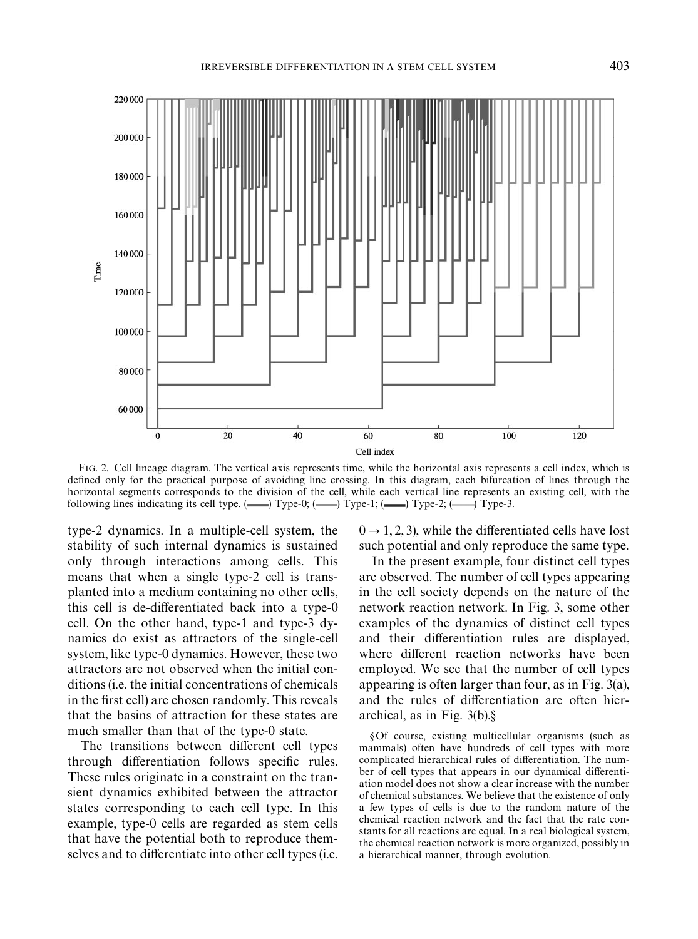<span id="page-8-0"></span>

FIG. 2. Cell lineage diagram. The vertical axis represents time, while the horizontal axis represents a cell index, which is defined only for the practical purpose of avoiding line crossing. In this diagram, each bifurcation of lines through the horizontal segments corresponds to the division of the cell, while each vertical line represents an existing cell, with the following lines indicating its cell type.  $(\_\_\_\_\)$  Type-0;  $(\_\_\_\_\)$  Type-1;  $(\_\_\_\)_$  Type-2;  $(\_\_\_\)_$  Type-3.

type-2 dynamics. In a multiple-cell system, the stability of such internal dynamics is sustained only through interactions among cells. This means that when a single type-2 cell is transplanted into a medium containing no other cells, this cell is de-differentiated back into a type- $0$ cell. On the other hand, type-1 and type-3 dynamics do exist as attractors of the single-cell system, like type-0 dynamics. However, these two attractors are not observed when the initial conditions (i.e. the initial concentrations of chemicals in the first cell) are chosen randomly. This reveals that the basins of attraction for these states are much smaller than that of the type-0 state.

The transitions between different cell types through differentiation follows specific rules. These rules originate in a constraint on the transient dynamics exhibited between the attractor states corresponding to each cell type. In this example, type-0 cells are regarded as stem cells that have the potential both to reproduce themselves and to differentiate into other cell types (i.e.  $0 \rightarrow 1, 2, 3$ ), while the differentiated cells have lost such potential and only reproduce the same type.

In the present example, four distinct cell types are observed. The number of cell types appearing in the cell society depends on the nature of the network reaction network. In [Fig. 3,](#page-10-0) some other examples of the dynamics of distinct cell types and their differentiation rules are displayed. where different reaction networks have been employed. We see that the number of cell types appearing is often larger than four, as in [Fig. 3\(a\),](#page-10-0) and the rules of differentiation are often hierarchical, as in Fig.  $3(b)$ . $\delta$ 

§ Of course, existing multicellular organisms (such as mammals) often have hundreds of cell types with more complicated hierarchical rules of differentiation. The number of cell types that appears in our dynamical differentiation model does not show a clear increase with the number of chemical substances. We believe that the existence of only a few types of cells is due to the random nature of the chemical reaction network and the fact that the rate constants for all reactions are equal. In a real biological system, the chemical reaction network is more organized, possibly in a hierarchical manner, through evolution.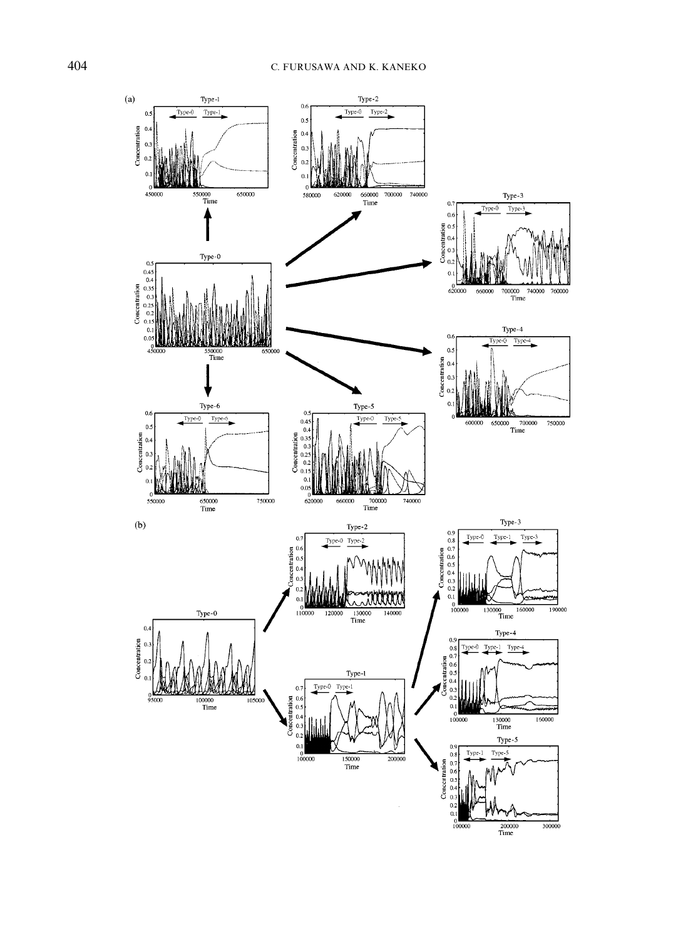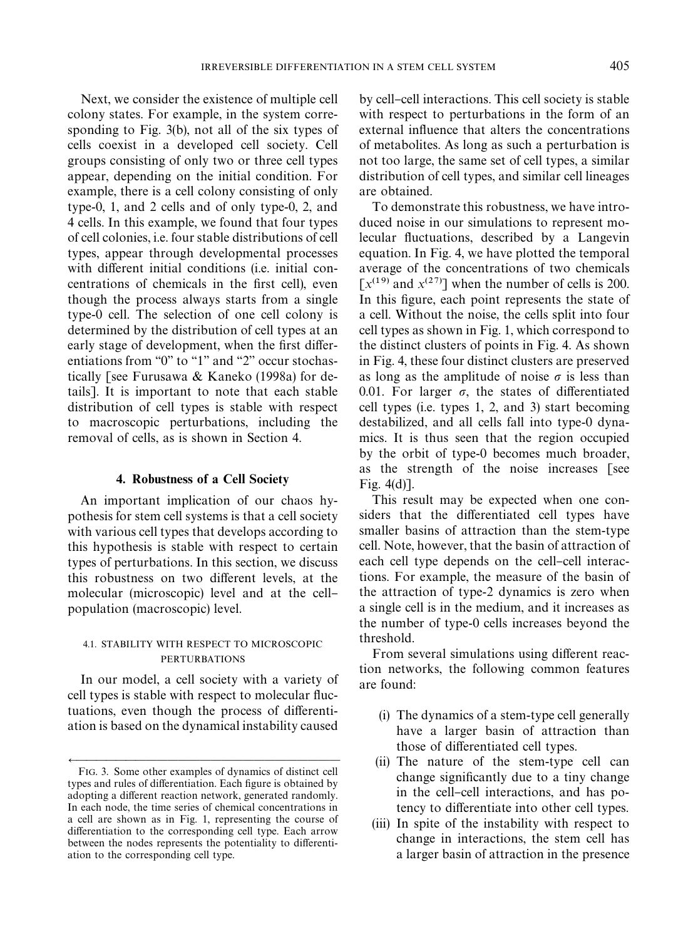<span id="page-10-0"></span>Next, we consider the existence of multiple cell colony states. For example, in the system corresponding to Fig. 3(b), not all of the six types of cells coexist in a developed cell society. Cell groups consisting of only two or three cell types appear, depending on the initial condition. For example, there is a cell colony consisting of only type-0, 1, and 2 cells and of only type-0, 2, and 4 cells. In this example, we found that four types of cell colonies, i.e. four stable distributions of cell types, appear through developmental processes with different initial conditions (i.e. initial concentrations of chemicals in the first cell), even though the process always starts from a single type-0 cell. The selection of one cell colony is determined by the distribution of cell types at an early stage of development, when the first differentiations from "0" to "1" and "2" occur stochastically [see [Furusawa & Kaneko \(1998a\)](#page-19-0) for details]. It is important to note that each stable distribution of cell types is stable with respect to macroscopic perturbations, including the removal of cells, as is shown in Section 4.

### 4. Robustness of a Cell Society

An important implication of our chaos hypothesis for stem cell systems is that a cell society with various cell types that develops according to this hypothesis is stable with respect to certain types of perturbations. In this section, we discuss this robustness on two different levels, at the molecular (microscopic) level and at the cellpopulation (macroscopic) level.

# 4.1. STABILITY WITH RESPECT TO MICROSCOPIC PERTURBATIONS

In our model, a cell society with a variety of cell types is stable with respect to molecular fluctuations, even though the process of differentiation is based on the dynamical instability caused

 $\longleftrightarrow$ 

by cell–cell interactions. This cell society is stable with respect to perturbations in the form of an external influence that alters the concentrations of metabolites. As long as such a perturbation is not too large, the same set of cell types, a similar distribution of cell types, and similar cell lineages are obtained.

To demonstrate this robustness, we have introduced noise in our simulations to represent molecular fluctuations, described by a Langevin equation. In [Fig. 4,](#page-11-0) we have plotted the temporal average of the concentrations of two chemicals  $\lceil x^{(19)} \rceil$  and  $x^{(27)}$  when the number of cells is 200. In this figure, each point represents the state of a cell. Without the noise, the cells split into four cell types as shown in [Fig. 1,](#page-7-0) which correspond to the distinct clusters of points in [Fig. 4.](#page-11-0) As shown in [Fig. 4,](#page-11-0) these four distinct clusters are preserved as long as the amplitude of noise  $\sigma$  is less than 0.01. For larger  $\sigma$ , the states of differentiated cell types (i.e. types 1, 2, and 3) start becoming destabilized, and all cells fall into type-0 dynamics. It is thus seen that the region occupied by the orbit of type-0 becomes much broader, as the strength of the noise increases [see [Fig. 4\(d\)\]](#page-11-0).

This result may be expected when one considers that the differentiated cell types have smaller basins of attraction than the stem-type cell. Note, however, that the basin of attraction of each cell type depends on the cell-cell interactions. For example, the measure of the basin of the attraction of type-2 dynamics is zero when a single cell is in the medium, and it increases as the number of type-0 cells increases beyond the threshold.

From several simulations using different reaction networks, the following common features are found:

- (i) The dynamics of a stem-type cell generally have a larger basin of attraction than those of differentiated cell types.
- (ii) The nature of the stem-type cell can change significantly due to a tiny change in the cell-cell interactions, and has potency to differentiate into other cell types.
- (iii) In spite of the instability with respect to change in interactions, the stem cell has a larger basin of attraction in the presence

FIG. 3. Some other examples of dynamics of distinct cell types and rules of differentiation. Each figure is obtained by adopting a different reaction network, generated randomly. In each node, the time series of chemical concentrations in a cell are shown as in [Fig. 1,](#page-7-0) representing the course of differentiation to the corresponding cell type. Each arrow between the nodes represents the potentiality to differentiation to the corresponding cell type.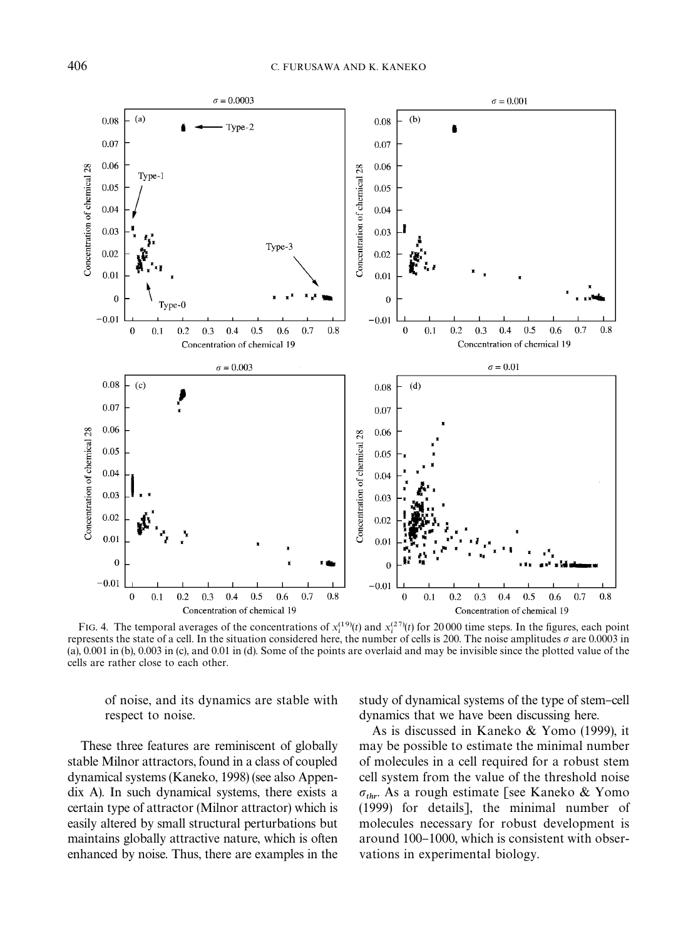<span id="page-11-0"></span>

FIG. 4. The temporal averages of the concentrations of  $x_i^{(19)}(t)$  and  $x_i^{(27)}(t)$  for 20 000 time steps. In the figures, each point represents the state of a cell. In the situation considered here, the number of cells is 200. The noise amplitudes  $\sigma$  are 0.0003 in (a), 0.001 in (b), 0.003 in (c), and 0.01 in (d). Some of the points are overlaid and may be invisible since the plotted value of the cells are rather close to each other.

of noise, and its dynamics are stable with respect to noise.

These three features are reminiscent of globally stable Milnor attractors, found in a class of coupled dynamical systems [\(Kaneko, 1998\)](#page-20-0) (see also [Appen](#page-20-0)[dix A\).](#page-20-0) In such dynamical systems, there exists a certain type of attractor (Milnor attractor) which is easily altered by small structural perturbations but maintains globally attractive nature, which is often enhanced by noise. Thus, there are examples in the study of dynamical systems of the type of stem-cell dynamics that we have been discussing here.

As is discussed in [Kaneko & Yomo \(1999\),](#page-20-0) it may be possible to estimate the minimal number of molecules in a cell required for a robust stem cell system from the value of the threshold noise  $\sigma_{thr}$ . As a rough estimate [see [Kaneko & Yomo](#page-20-0) [\(1999\)](#page-20-0) for details], the minimal number of molecules necessary for robust development is around 100–1000, which is consistent with observations in experimental biology.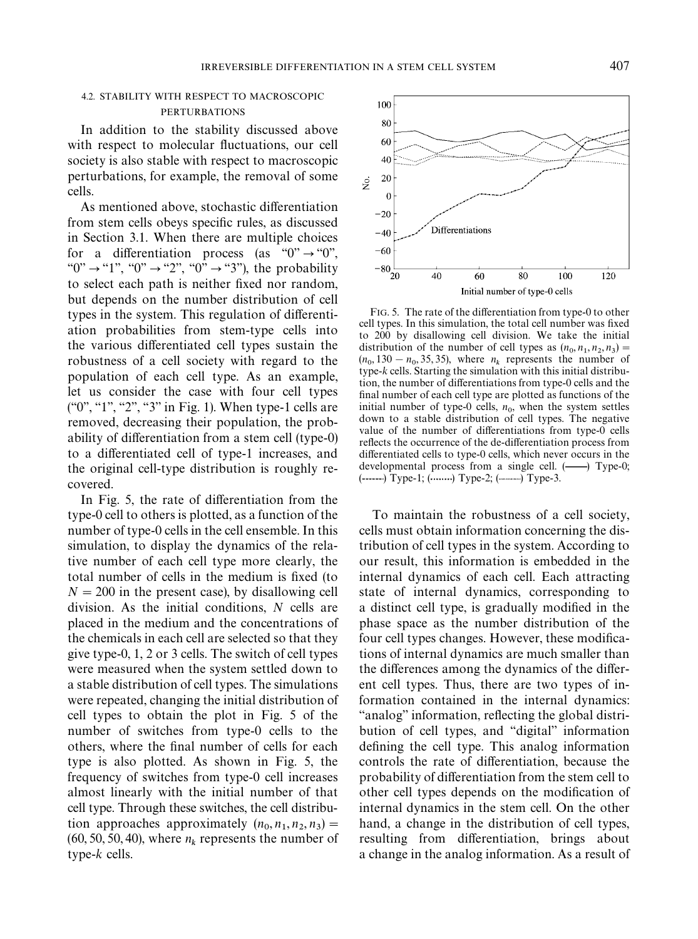### 4.2. STABILITY WITH RESPECT TO MACROSCOPIC PERTURBATIONS

In addition to the stability discussed above with respect to molecular fluctuations, our cell society is also stable with respect to macroscopic perturbations, for example, the removal of some cells.

As mentioned above, stochastic differentiation from stem cells obeys specific rules, as discussed in Section 3.1. When there are multiple choices for a differentiation process (as " $0" \rightarrow "0"$ , " $0$ " $\rightarrow$  "1", " $0$ " $\rightarrow$  "2", " $0$ " $\rightarrow$  "3"), the probability to select each path is neither fixed nor random, but depends on the number distribution of cell types in the system. This regulation of differentiation probabilities from stem-type cells into the various differentiated cell types sustain the robustness of a cell society with regard to the population of each cell type. As an example, let us consider the case with four cell types  $(40", 41", 42", 43"$  in [Fig. 1\)](#page-7-0). When type-1 cells are removed, decreasing their population, the probability of differentiation from a stem cell (type-0) to a differentiated cell of type-1 increases, and the original cell-type distribution is roughly recovered.

In Fig. 5, the rate of differentiation from the type-0 cell to others is plotted, as a function of the number of type-0 cells in the cell ensemble. In this simulation, to display the dynamics of the relative number of each cell type more clearly, the total number of cells in the medium is fixed (to  $N = 200$  in the present case), by disallowing cell division. As the initial conditions, *N* cells are placed in the medium and the concentrations of the chemicals in each cell are selected so that they give type-0, 1, 2 or 3 cells. The switch of cell types were measured when the system settled down to a stable distribution of cell types. The simulations were repeated, changing the initial distribution of cell types to obtain the plot in Fig. 5 of the number of switches from type-0 cells to the others, where the final number of cells for each type is also plotted. As shown in Fig. 5, the frequency of switches from type-0 cell increases almost linearly with the initial number of that cell type. Through these switches, the cell distribution approaches approximately  $(n_0, n_1, n_2, n_3) =$  $(60, 50, 50, 40)$ , where  $n_k$  represents the number of type-*k* cells.



FIG. 5. The rate of the differentiation from type-0 to other cell types. In this simulation, the total cell number was fixed to 200 by disallowing cell division. We take the initial distribution of the number of cell types as  $(n_0, n_1, n_2, n_3) =$ <br>(*n*, 120  $(n_0, 130 - n_0, 35, 35)$ , where  $n_k$  represents the number of type-*k* cells. Starting the simulation with this initial distribution, the number of differentiations from type-0 cells and the final number of each cell type are plotted as functions of the initial number of type-0 cells,  $n_0$ , when the system settles down to a stable distribution of cell types. The negative value of the number of differentiations from type-0 cells reflects the occurrence of the de-differentiation process from differentiated cells to type-0 cells, which never occurs in the developmental process from a single cell.  $(\_\_\_\)$  Type-0; ( ) Type-1; ( ) Type-2; ( ) Type-3.

To maintain the robustness of a cell society, cells must obtain information concerning the distribution of cell types in the system. According to our result, this information is embedded in the internal dynamics of each cell. Each attracting state of internal dynamics, corresponding to a distinct cell type, is gradually modified in the phase space as the number distribution of the four cell types changes. However, these modifications of internal dynamics are much smaller than the differences among the dynamics of the different cell types. Thus, there are two types of information contained in the internal dynamics: "analog" information, reflecting the global distribution of cell types, and "digital" information defining the cell type. This analog information controls the rate of differentiation, because the probability of differentiation from the stem cell to other cell types depends on the modification of internal dynamics in the stem cell. On the other hand, a change in the distribution of cell types, resulting from differentiation, brings about a change in the analog information. As a result of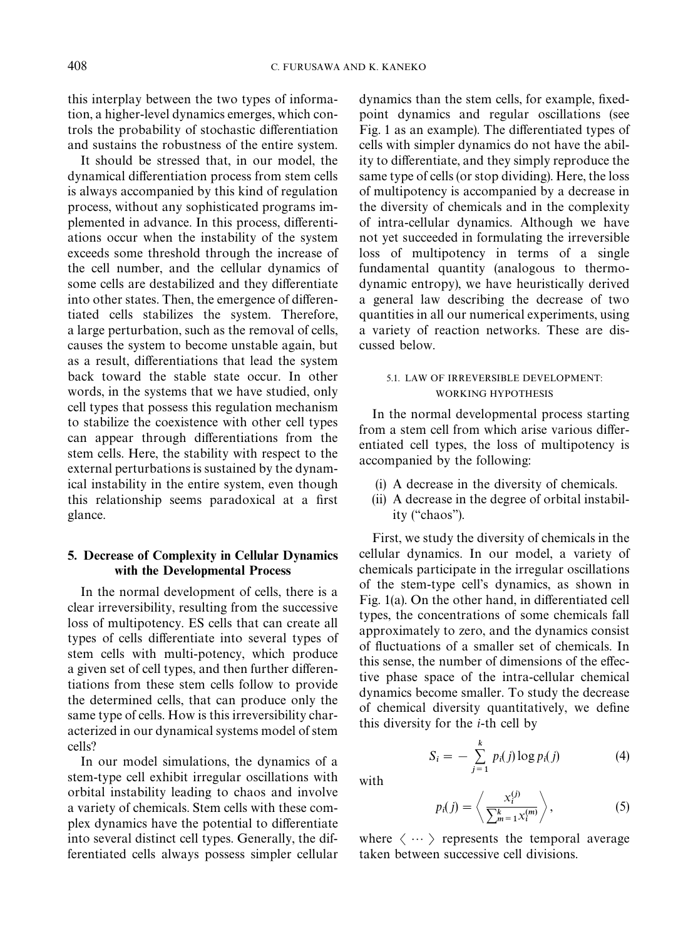<span id="page-13-0"></span>this interplay between the two types of information, a higher-level dynamics emerges, which controls the probability of stochastic differentiation and sustains the robustness of the entire system.

It should be stressed that, in our model, the dynamical differentiation process from stem cells is always accompanied by this kind of regulation process, without any sophisticated programs implemented in advance. In this process, differentiations occur when the instability of the system exceeds some threshold through the increase of the cell number, and the cellular dynamics of some cells are destabilized and they differentiate into other states. Then, the emergence of differentiated cells stabilizes the system. Therefore, a large perturbation, such as the removal of cells, causes the system to become unstable again, but as a result, differentiations that lead the system back toward the stable state occur. In other words, in the systems that we have studied, only cell types that possess this regulation mechanism to stabilize the coexistence with other cell types can appear through differentiations from the stem cells. Here, the stability with respect to the external perturbations is sustained by the dynamical instability in the entire system, even though this relationship seems paradoxical at a first glance.

# 5. Decrease of Complexity in Cellular Dynamics with the Developmental Process

In the normal development of cells, there is a clear irreversibility, resulting from the successive loss of multipotency. ES cells that can create all types of cells differentiate into several types of stem cells with multi-potency, which produce a given set of cell types, and then further differentiations from these stem cells follow to provide the determined cells, that can produce only the same type of cells. How is this irreversibility characterized in our dynamical systems model of stem cells?

In our model simulations, the dynamics of a stem-type cell exhibit irregular oscillations with orbital instability leading to chaos and involve a variety of chemicals. Stem cells with these complex dynamics have the potential to differentiate into several distinct cell types. Generally, the differentiated cells always possess simpler cellular

dynamics than the stem cells, for example, fixedpoint dynamics and regular oscillations (see [Fig. 1](#page-7-0) as an example). The differentiated types of cells with simpler dynamics do not have the ability to differentiate, and they simply reproduce the same type of cells (or stop dividing). Here, the loss of multipotency is accompanied by a decrease in the diversity of chemicals and in the complexity of intra-cellular dynamics. Although we have not yet succeeded in formulating the irreversible loss of multipotency in terms of a single fundamental quantity (analogous to thermodynamic entropy), we have heuristically derived a general law describing the decrease of two quantities in all our numerical experiments, using a variety of reaction networks. These are discussed below.

### 5.1. LAW OF IRREVERSIBLE DEVELOPMENT: WORKING HYPOTHESIS

In the normal developmental process starting from a stem cell from which arise various differentiated cell types, the loss of multipotency is accompanied by the following:

- (i) A decrease in the diversity of chemicals.
- (ii) A decrease in the degree of orbital instability ("chaos").

First, we study the diversity of chemicals in the cellular dynamics. In our model, a variety of chemicals participate in the irregular oscillations of the stem-type cell's dynamics, as shown in Fig.  $1(a)$ . On the other hand, in differentiated cell types, the concentrations of some chemicals fall approximately to zero, and the dynamics consist of fluctuations of a smaller set of chemicals. In this sense, the number of dimensions of the effective phase space of the intra-cellular chemical dynamics become smaller. To study the decrease of chemical diversity quantitatively, we define this diversity for the *i*-th cell by

> $S_i = - \sum_{j=1}^{k} p_i(j) \log p_i$  $(4)$

with

$$
p_i(j) = \left\langle \frac{x_i^{(j)}}{\sum_{m=1}^k x_i^{(m)}} \right\rangle, \tag{5}
$$

where  $\langle \cdots \rangle$  represents the temporal average taken between successive cell divisions.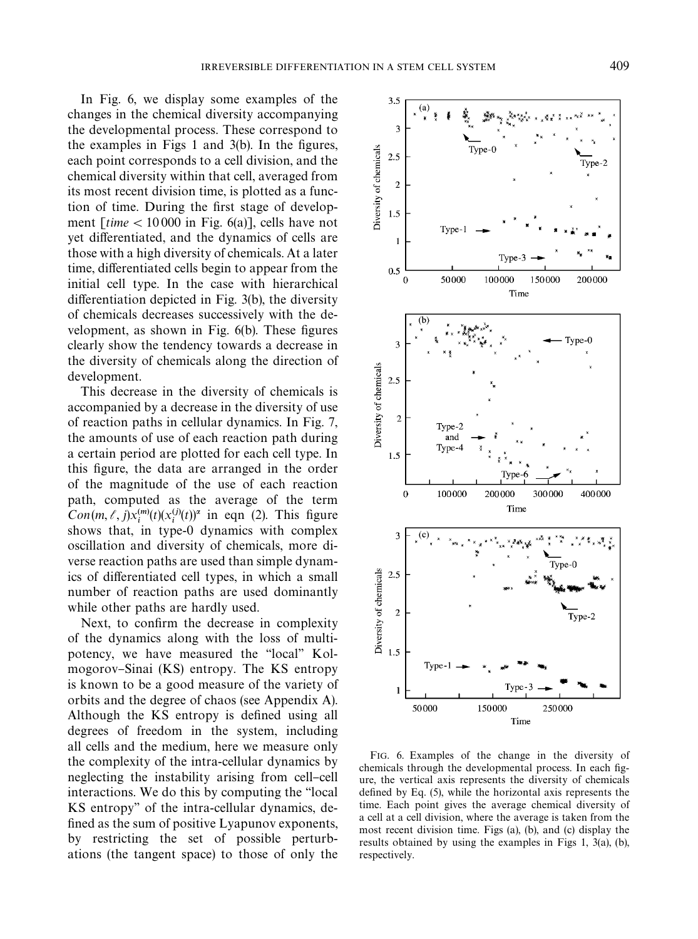In Fig. 6, we display some examples of the changes in the chemical diversity accompanying the developmental process. These correspond to the examples in [Figs 1](#page-7-0) and  $3(b)$ . In the figures, each point corresponds to a cell division, and the chemical diversity within that cell, averaged from its most recent division time, is plotted as a function of time. During the first stage of development  $[time < 10000$  in Fig. 6(a)], cells have not yet differentiated, and the dynamics of cells are those with a high diversity of chemicals. At a later time, differentiated cells begin to appear from the initial cell type. In the case with hierarchical differentiation depicted in Fig.  $3(b)$ , the diversity of chemicals decreases successively with the development, as shown in Fig.  $6(b)$ . These figures clearly show the tendency towards a decrease in the diversity of chemicals along the direction of development.

This decrease in the diversity of chemicals is accompanied by a decrease in the diversity of use of reaction paths in cellular dynamics. In [Fig. 7,](#page-15-0) the amounts of use of each reaction path during a certain period are plotted for each cell type. In this figure, the data are arranged in the order of the magnitude of the use of each reaction path, computed as the average of the term path, computed as the average of the term<br>  $Con(m, \ell, j)x_i^{(m)}(t)(x_i^{(j)}(t))^{\alpha}$  in [eqn \(2\).](#page-4-0) This figure shows that, in type-0 dynamics with complex oscillation and diversity of chemicals, more diverse reaction paths are used than simple dynamics of differentiated cell types, in which a small number of reaction paths are used dominantly while other paths are hardly used.

Next, to confirm the decrease in complexity of the dynamics along with the loss of multipotency, we have measured the "local" Kolmogorov-Sinai (KS) entropy. The KS entropy is known to be a good measure of the variety of orbits and the degree of chaos (see [Appendix A\).](#page-20-0) Although the KS entropy is defined using all degrees of freedom in the system, including all cells and the medium, here we measure only the complexity of the intra-cellular dynamics by neglecting the instability arising from cell-cell interactions. We do this by computing the "local KS entropy'' of the intra-cellular dynamics, de fined as the sum of positive Lyapunov exponents, by restricting the set of possible perturbations (the tangent space) to those of only the



FIG. 6. Examples of the change in the diversity of chemicals through the developmental process. In each figure, the vertical axis represents the diversity of chemicals defined by Eq.  $(5)$ , while the horizontal axis represents the time. Each point gives the average chemical diversity of a cell at a cell division, where the average is taken from the most recent division time. Figs (a), (b), and (c) display the results obtained by using the examples in [Figs 1,](#page-7-0) [3\(a\)](#page-10-0), [\(b\),](#page-10-0) respectively.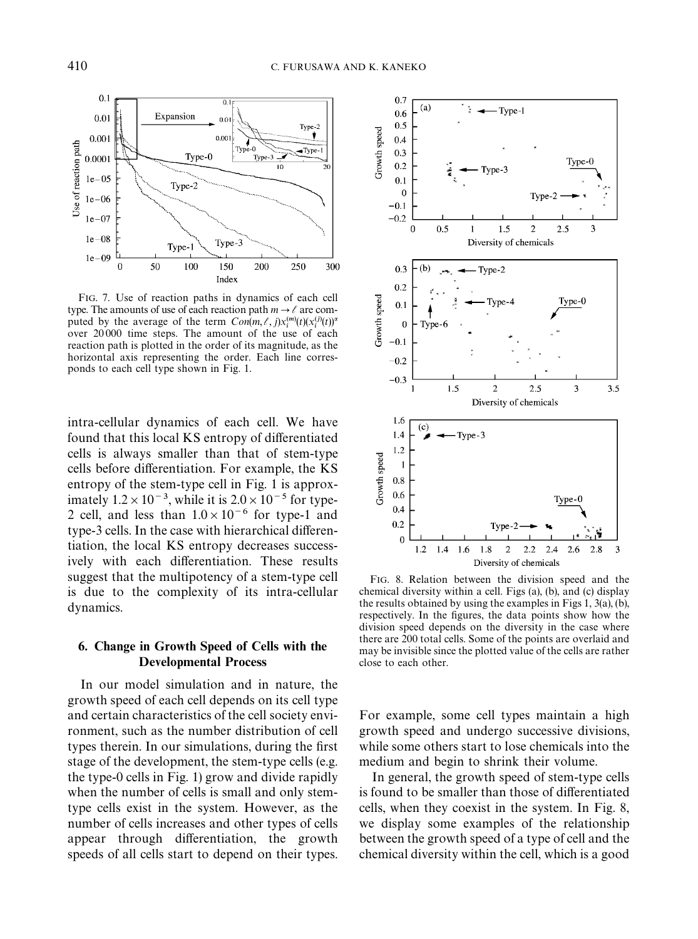<span id="page-15-0"></span>

FIG. 7. Use of reaction paths in dynamics of each cell type. The amounts of use of each reaction path  $m \to \ell$  are com-<br>puted by the average of the term  $Con(m,\ell,j)x_i^{(m)}(t)(x_i^{(j)}(t))^{\alpha}$ by the average of the term  $Con(m, \ell, j)x_i^{(m)}(t)x_i^{(j)}$ over 20000 time steps. The amount of the use of each reaction path is plotted in the order of its magnitude, as the horizontal axis representing the order. Each line corresponds to each cell type shown in [Fig. 1](#page-7-0).

intra-cellular dynamics of each cell. We have found that this local KS entropy of differentiated cells is always smaller than that of stem-type cells before differentiation. For example, the KS entropy of the stem-type cell in [Fig. 1](#page-7-0) is approxentropy of the stem-type cell in Fig. 1 is approx-<br>imately  $1.2 \times 10^{-3}$ , while it is  $2.0 \times 10^{-5}$  for typeimately  $1.2 \times 10^{-3}$ , while it is  $2.0 \times 10^{-5}$  for type-<br>2 cell, and less than  $1.0 \times 10^{-6}$  for type-1 and type-3 cells. In the case with hierarchical differentiation, the local KS entropy decreases successively with each differentiation. These results suggest that the multipotency of a stem-type cell is due to the complexity of its intra-cellular dynamics.

# 6. Change in Growth Speed of Cells with the Developmental Process

In our model simulation and in nature, the growth speed of each cell depends on its cell type and certain characteristics of the cell society environment, such as the number distribution of cell types therein. In our simulations, during the first stage of the development, the stem-type cells (e.g. the type-0 cells in [Fig. 1\)](#page-7-0) grow and divide rapidly when the number of cells is small and only stemtype cells exist in the system. However, as the number of cells increases and other types of cells appear through differentiation, the growth speeds of all cells start to depend on their types.



FIG. 8. Relation between the division speed and the chemical diversity within a cell. Figs (a), (b), and (c) display the results obtained by using the examples in [Figs 1](#page-7-0), [3\(a\), \(b\),](#page-10-0) respectively. In the figures, the data points show how the division speed depends on the diversity in the case where there are 200 total cells. Some of the points are overlaid and may be invisible since the plotted value of the cells are rather close to each other.

For example, some cell types maintain a high growth speed and undergo successive divisions, while some others start to lose chemicals into the medium and begin to shrink their volume.

In general, the growth speed of stem-type cells is found to be smaller than those of differentiated cells, when they coexist in the system. In Fig. 8, we display some examples of the relationship between the growth speed of a type of cell and the chemical diversity within the cell, which is a good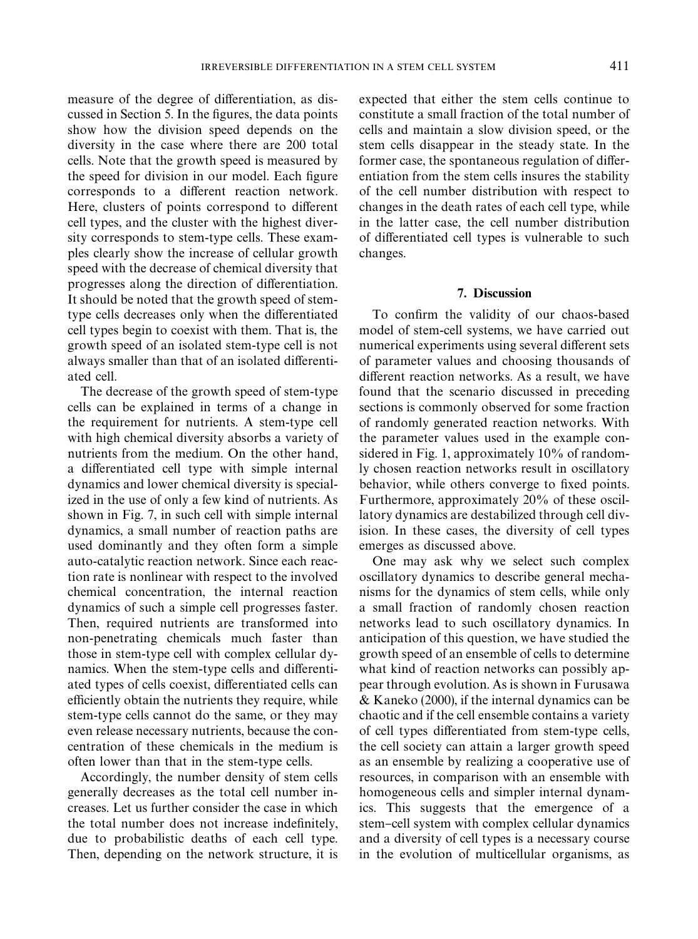<span id="page-16-0"></span>measure of the degree of differentiation, as dis-cussed in [Section 5.](#page-13-0) In the figures, the data points show how the division speed depends on the diversity in the case where there are 200 total cells. Note that the growth speed is measured by the speed for division in our model. Each figure corresponds to a different reaction network. Here, clusters of points correspond to different cell types, and the cluster with the highest diversity corresponds to stem-type cells. These examples clearly show the increase of cellular growth speed with the decrease of chemical diversity that progresses along the direction of differentiation. It should be noted that the growth speed of stemtype cells decreases only when the differentiated cell types begin to coexist with them. That is, the growth speed of an isolated stem-type cell is not always smaller than that of an isolated differentiated cell.

The decrease of the growth speed of stem-type cells can be explained in terms of a change in the requirement for nutrients. A stem-type cell with high chemical diversity absorbs a variety of nutrients from the medium. On the other hand, a differentiated cell type with simple internal dynamics and lower chemical diversity is specialized in the use of only a few kind of nutrients. As shown i[n Fig. 7,](#page-15-0) in such cell with simple internal dynamics, a small number of reaction paths are used dominantly and they often form a simple auto-catalytic reaction network. Since each reaction rate is nonlinear with respect to the involved chemical concentration, the internal reaction dynamics of such a simple cell progresses faster. Then, required nutrients are transformed into non-penetrating chemicals much faster than those in stem-type cell with complex cellular dynamics. When the stem-type cells and differentiated types of cells coexist, differentiated cells can efficiently obtain the nutrients they require, while stem-type cells cannot do the same, or they may even release necessary nutrients, because the concentration of these chemicals in the medium is often lower than that in the stem-type cells.

Accordingly, the number density of stem cells generally decreases as the total cell number increases. Let us further consider the case in which the total number does not increase indefinitely, due to probabilistic deaths of each cell type. Then, depending on the network structure, it is

expected that either the stem cells continue to constitute a small fraction of the total number of cells and maintain a slow division speed, or the stem cells disappear in the steady state. In the former case, the spontaneous regulation of differentiation from the stem cells insures the stability of the cell number distribution with respect to changes in the death rates of each cell type, while in the latter case, the cell number distribution of differentiated cell types is vulnerable to such changes.

### 7. Discussion

To confirm the validity of our chaos-based model of stem-cell systems, we have carried out numerical experiments using several different sets of parameter values and choosing thousands of different reaction networks. As a result, we have found that the scenario discussed in preceding sections is commonly observed for some fraction of randomly generated reaction networks. With the parameter values used in the example considered in [Fig. 1,](#page-7-0) approximately 10% of randomly chosen reaction networks result in oscillatory behavior, while others converge to fixed points. Furthermore, approximately 20% of these oscillatory dynamics are destabilized through cell division. In these cases, the diversity of cell types emerges as discussed above.

One may ask why we select such complex oscillatory dynamics to describe general mechanisms for the dynamics of stem cells, while only a small fraction of randomly chosen reaction networks lead to such oscillatory dynamics. In anticipation of this question, we have studied the growth speed of an ensemble of cells to determine what kind of reaction networks can possibly appear through evolution. As is shown in [Furusawa](#page-19-0) [& Kaneko \(2000\),](#page-19-0) if the internal dynamics can be chaotic and if the cell ensemble contains a variety of cell types differentiated from stem-type cells, the cell society can attain a larger growth speed as an ensemble by realizing a cooperative use of resources, in comparison with an ensemble with homogeneous cells and simpler internal dynamics. This suggests that the emergence of a stem-cell system with complex cellular dynamics and a diversity of cell types is a necessary course in the evolution of multicellular organisms, as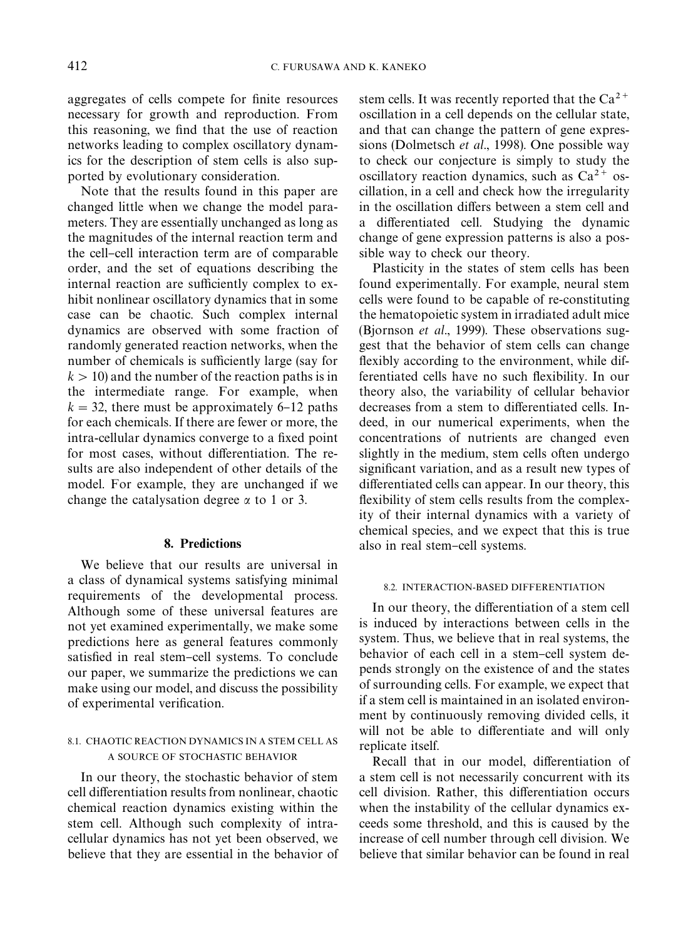aggregates of cells compete for finite resources necessary for growth and reproduction. From this reasoning, we find that the use of reaction networks leading to complex oscillatory dynamics for the description of stem cells is also supported by evolutionary consideration.

Note that the results found in this paper are changed little when we change the model parameters. They are essentially unchanged as long as the magnitudes of the internal reaction term and the cell-cell interaction term are of comparable order, and the set of equations describing the internal reaction are sufficiently complex to exhibit nonlinear oscillatory dynamics that in some case can be chaotic. Such complex internal dynamics are observed with some fraction of randomly generated reaction networks, when the number of chemicals is sufficiently large (say for  $k > 10$ ) and the number of the reaction paths is in the intermediate range. For example, when  $k = 32$ , there must be approximately 6–12 paths for each chemicals. If there are fewer or more, the intra-cellular dynamics converge to a fixed point for most cases, without differentiation. The results are also independent of other details of the model. For example, they are unchanged if we change the catalysation degree  $\alpha$  to 1 or 3.

### 8. Predictions

We believe that our results are universal in a class of dynamical systems satisfying minimal requirements of the developmental process. Although some of these universal features are not yet examined experimentally, we make some predictions here as general features commonly satisfied in real stem-cell systems. To conclude our paper, we summarize the predictions we can make using our model, and discuss the possibility of experimental verification.

### 8.1. CHAOTIC REACTION DYNAMICS IN A STEM CELL AS A SOURCE OF STOCHASTIC BEHAVIOR

In our theory, the stochastic behavior of stem cell differentiation results from nonlinear, chaotic chemical reaction dynamics existing within the stem cell. Although such complexity of intracellular dynamics has not yet been observed, we believe that they are essential in the behavior of stem cells. It was recently reported that the  $Ca^{2+}$ oscillation in a cell depends on the cellular state, and that can change the pattern of gene expressions [\(Dolmetsch](#page-19-0) *et al*., 1998). One possible way to check our conjecture is simply to study the oscillatory reaction dynamics, such as  $Ca^{2+}$  oscillation, in a cell and check how the irregularity in the oscillation differs between a stem cell and a differentiated cell. Studying the dynamic change of gene expression patterns is also a possible way to check our theory.

Plasticity in the states of stem cells has been found experimentally. For example, neural stem cells were found to be capable of re-constituting the hematopoietic system in irradiated adult mice [\(Bjornson](#page-19-0) *et al*., 1999). These observations suggest that the behavior of stem cells can change flexibly according to the environment, while differentiated cells have no such flexibility. In our theory also, the variability of cellular behavior decreases from a stem to differentiated cells. Indeed, in our numerical experiments, when the concentrations of nutrients are changed even slightly in the medium, stem cells often undergo significant variation, and as a result new types of differentiated cells can appear. In our theory, this flexibility of stem cells results from the complexity of their internal dynamics with a variety of chemical species, and we expect that this is true also in real stem-cell systems.

#### 8.2. INTERACTION-BASED DIFFERENTIATION

In our theory, the differentiation of a stem cell is induced by interactions between cells in the system. Thus, we believe that in real systems, the behavior of each cell in a stem-cell system depends strongly on the existence of and the states of surrounding cells. For example, we expect that if a stem cell is maintained in an isolated environment by continuously removing divided cells, it will not be able to differentiate and will only replicate itself.

Recall that in our model, differentiation of a stem cell is not necessarily concurrent with its cell division. Rather, this differentiation occurs when the instability of the cellular dynamics exceeds some threshold, and this is caused by the increase of cell number through cell division. We believe that similar behavior can be found in real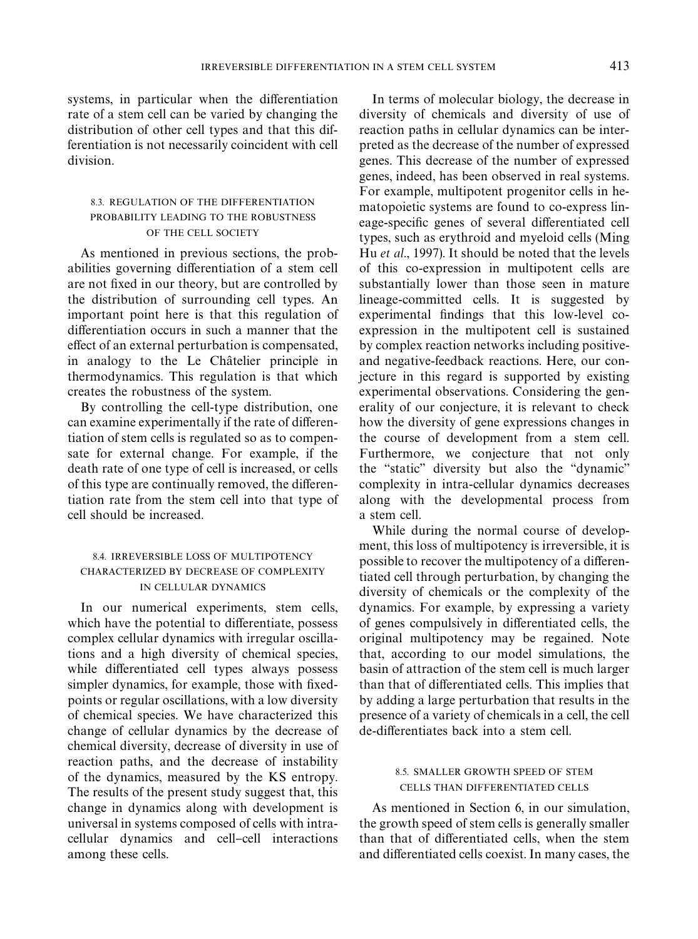systems, in particular when the differentiation rate of a stem cell can be varied by changing the distribution of other cell types and that this differentiation is not necessarily coincident with cell division.

# 8.3. REGULATION OF THE DIFFERENTIATION PROBABILITY LEADING TO THE ROBUSTNESS OF THE CELL SOCIETY

As mentioned in previous sections, the probabilities governing differentiation of a stem cell are not fixed in our theory, but are controlled by the distribution of surrounding cell types. An important point here is that this regulation of differentiation occurs in such a manner that the effect of an external perturbation is compensated, in analogy to the Le Châtelier principle in thermodynamics. This regulation is that which creates the robustness of the system.

By controlling the cell-type distribution, one can examine experimentally if the rate of differentiation of stem cells is regulated so as to compensate for external change. For example, if the death rate of one type of cell is increased, or cells of this type are continually removed, the differentiation rate from the stem cell into that type of cell should be increased.

# 8.4. IRREVERSIBLE LOSS OF MULTIPOTENCY CHARACTERIZED BY DECREASE OF COMPLEXITY IN CELLULAR DYNAMICS

In our numerical experiments, stem cells, which have the potential to differentiate, possess complex cellular dynamics with irregular oscillations and a high diversity of chemical species, while differentiated cell types always possess simpler dynamics, for example, those with fixedpoints or regular oscillations, with a low diversity of chemical species. We have characterized this change of cellular dynamics by the decrease of chemical diversity, decrease of diversity in use of reaction paths, and the decrease of instability of the dynamics, measured by the KS entropy. The results of the present study suggest that, this change in dynamics along with development is universal in systems composed of cells with intracellular dynamics and cell-cell interactions among these cells.

In terms of molecular biology, the decrease in diversity of chemicals and diversity of use of reaction paths in cellular dynamics can be interpreted as the decrease of the number of expressed genes. This decrease of the number of expressed genes, indeed, has been observed in real systems. For example, multipotent progenitor cells in hematopoietic systems are found to co-express lineage-specific genes of several differentiated cell types, such as erythroid and myeloid cells [\(Ming](#page-20-0) Hu *et al*[., 1997\).](#page-20-0) It should be noted that the levels of this co-expression in multipotent cells are substantially lower than those seen in mature lineage-committed cells. It is suggested by experimental findings that this low-level coexpression in the multipotent cell is sustained by complex reaction networks including positiveand negative-feedback reactions. Here, our conjecture in this regard is supported by existing experimental observations. Considering the generality of our conjecture, it is relevant to check how the diversity of gene expressions changes in the course of development from a stem cell. Furthermore, we conjecture that not only the "static" diversity but also the "dynamic" complexity in intra-cellular dynamics decreases along with the developmental process from a stem cell.

While during the normal course of development, this loss of multipotency is irreversible, it is possible to recover the multipotency of a differentiated cell through perturbation, by changing the diversity of chemicals or the complexity of the dynamics. For example, by expressing a variety of genes compulsively in differentiated cells, the original multipotency may be regained. Note that, according to our model simulations, the basin of attraction of the stem cell is much larger than that of differentiated cells. This implies that by adding a large perturbation that results in the presence of a variety of chemicals in a cell, the cell de-differentiates back into a stem cell.

### 8.5. SMALLER GROWTH SPEED OF STEM CELLS THAN DIFFERENTIATED CELLS

As mentioned in [Section 6,](#page-15-0) in our simulation, the growth speed of stem cells is generally smaller than that of differentiated cells, when the stem and differentiated cells coexist. In many cases, the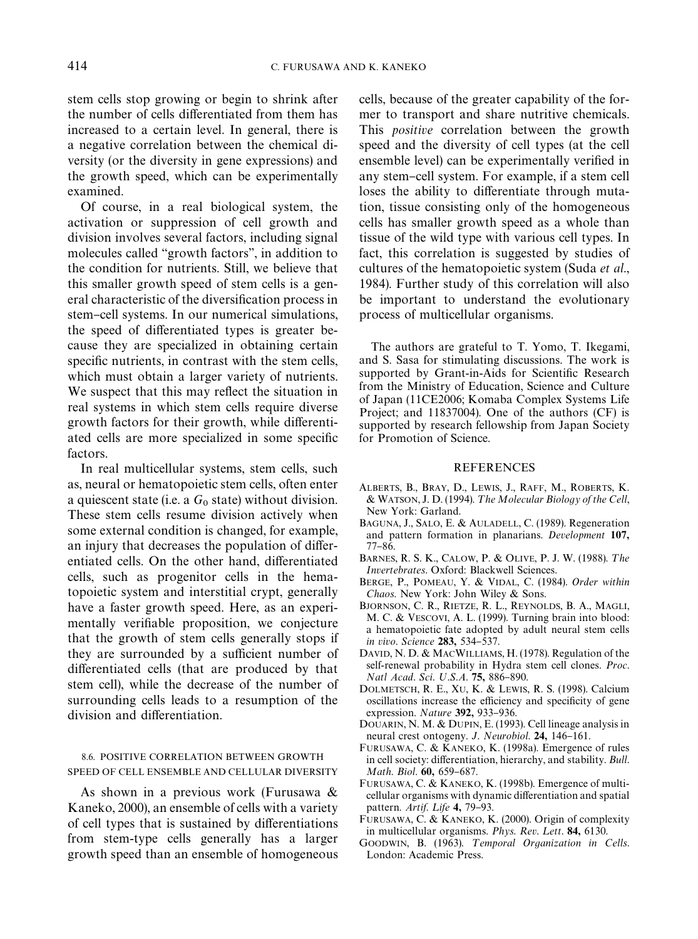<span id="page-19-0"></span>stem cells stop growing or begin to shrink after the number of cells differentiated from them has increased to a certain level. In general, there is a negative correlation between the chemical diversity (or the diversity in gene expressions) and the growth speed, which can be experimentally examined.

Of course, in a real biological system, the activation or suppression of cell growth and division involves several factors, including signal molecules called "growth factors", in addition to the condition for nutrients. Still, we believe that this smaller growth speed of stem cells is a general characteristic of the diversification process in stem-cell systems. In our numerical simulations, the speed of differentiated types is greater because they are specialized in obtaining certain specific nutrients, in contrast with the stem cells, which must obtain a larger variety of nutrients. We suspect that this may reflect the situation in real systems in which stem cells require diverse growth factors for their growth, while differentiated cells are more specialized in some specific factors.

In real multicellular systems, stem cells, such as, neural or hematopoietic stem cells, often enter a quiescent state (i.e. a  $G_0$  state) without division. These stem cells resume division actively when some external condition is changed, for example, an injury that decreases the population of differentiated cells. On the other hand, differentiated cells, such as progenitor cells in the hematopoietic system and interstitial crypt, generally have a faster growth speed. Here, as an experimentally verifiable proposition, we conjecture that the growth of stem cells generally stops if they are surrounded by a sufficient number of differentiated cells (that are produced by that stem cell), while the decrease of the number of surrounding cells leads to a resumption of the division and differentiation.

### 8.6. POSITIVE CORRELATION BETWEEN GROWTH SPEED OF CELL ENSEMBLE AND CELLULAR DIVERSITY

As shown in a previous work (Furusawa & Kaneko, 2000), an ensemble of cells with a variety of cell types that is sustained by differentiations from stem-type cells generally has a larger growth speed than an ensemble of homogeneous cells, because of the greater capability of the former to transport and share nutritive chemicals. This *positive* correlation between the growth speed and the diversity of cell types (at the cell ensemble level) can be experimentally verified in any stem-cell system. For example, if a stem cell loses the ability to differentiate through mutation, tissue consisting only of the homogeneous cells has smaller growth speed as a whole than tissue of the wild type with various cell types. In fact, this correlation is suggested by studies of cultures of the hematopoietic system [\(Suda](#page-20-0) *et al*., [1984\).](#page-20-0) Further study of this correlation will also be important to understand the evolutionary process of multicellular organisms.

The authors are grateful to T. Yomo, T. Ikegami, and S. Sasa for stimulating discussions. The work is supported by Grant-in-Aids for Scientific Research from the Ministry of Education, Science and Culture of Japan (11CE2006; Komaba Complex Systems Life Project; and 11837004). One of the authors (CF) is supported by research fellowship from Japan Society for Promotion of Science.

#### REFERENCES

- ALBERTS, B., BRAY, D., LEWIS, J., RAFF, M., ROBERTS, K.  $&$  WATSON, J. D. (1994). The Molecular Biology of the Cell, New York: Garland.
- BAGUNA, J., SALO, E. & AULADELL, C. (1989). Regeneration and pattern formation in planarians. *Development* 107, 77-86.
- BARNES, R. S. K., CALOW, P. & OLIVE, P. J. W. (1988). The *Invertebrates*. Oxford: Blackwell Sciences.
- BERGE, P., POMEAU, Y. & VIDAL, C. (1984). *Order within Chaos*. New York: John Wiley & Sons.
- BJORNSON, C. R., RIETZE, R. L., REYNOLDS, B. A., MAGLI, M. C. & VESCOVI, A. L. (1999). Turning brain into blood: a hematopoietic fate adopted by adult neural stem cells *in vivo. Science* 283, 534-537.
- DAVID, N. D. & MACWILLIAMS, H. (1978). Regulation of the self-renewal probability in Hydra stem cell clones. *Proc*. *Natl Acad. Sci. U.S.A.* 75, 886-890.
- DOLMETSCH, R. E., XU, K. & LEWIS, R. S. (1998). Calcium oscillations increase the efficiency and specificity of gene expression. *Nature* 392, 933-936.
- DOUARIN, N. M. & DUPIN, E. (1993). Cell lineage analysis in neural crest ontogeny. *J. Neurobiol*. **24**, 146-161.
- FURUSAWA, C. & KANEKO, K. (1998a). Emergence of rules in cell society: differentiation, hierarchy, and stability. *Bull*. *Math. Biol.* **60,** 659-687.
- FURUSAWA, C. & KANEKO, K. (1998b). Emergence of multicellular organisms with dynamic differentiation and spatial pattern. Artif. Life 4, 79-93.
- FURUSAWA, C. & KANEKO, K. (2000). Origin of complexity in multicellular organisms. *Phys. Rev. Lett.* 84, 6130.
- GOODWIN, B. (1963). Temporal Organization in Cells. London: Academic Press.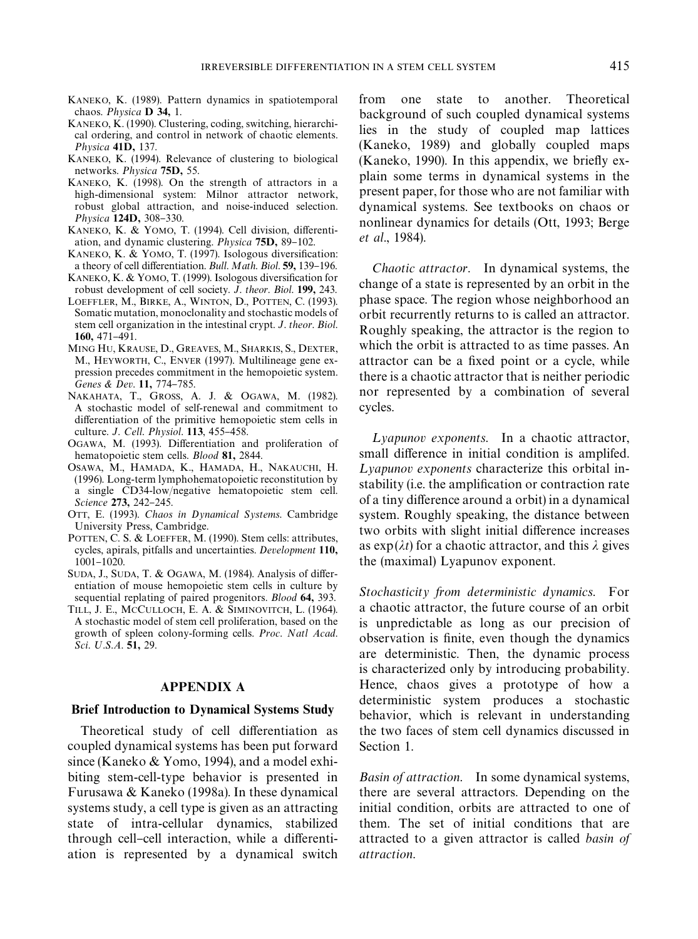- <span id="page-20-0"></span>KANEKO, K. (1989). Pattern dynamics in spatiotemporal chaos. *Physica* D 34, 1.
- KANEKO, K. (1990). Clustering, coding, switching, hierarchical ordering, and control in network of chaotic elements. *Physica* 41D, 137.
- KANEKO, K. (1994). Relevance of clustering to biological networks. *Physica* 75D, 55.
- KANEKO, K. (1998). On the strength of attractors in a high-dimensional system: Milnor attractor network, robust global attraction, and noise-induced selection. *Physica* 124D, 308-330.
- KANEKO, K. & YOMO, T. (1994). Cell division, differentiation, and dynamic clustering. *Physica* 75D, 89-102.
- KANEKO, K. & YOMO, T. (1997). Isologous diversification: a theory of cell differentiation. *Bull. Math. Biol.* 59, 139-196.
- KANEKO, K. & YOMO, T. (1999). Isologous diversification for robust development of cell society. *J*. *theor*. *Biol*. 199, 243.
- LOEFFLER, M., BIRKE, A., WINTON, D., POTTEN, C. (1993). Somatic mutation, monoclonality and stochastic models of stem cell organization in the intestinal crypt. *J*. *theor*. *Biol*. 160, 471-491.
- MING HU, KRAUSE, D., GREAVES, M., SHARKIS, S., DEXTER, M., HEYWORTH, C., ENVER (1997). Multilineage gene expression precedes commitment in the hemopoietic system. Genes & Dev. 11, 774-785.
- NAKAHATA, T., GROSS, A. J. & OGAWA, M. (1982). A stochastic model of self-renewal and commitment to differentiation of the primitive hemopoietic stem cells in culture. *J. Cell. Physiol.* 113, 455-458.
- OGAWA, M. (1993). Differentiation and proliferation of hematopoietic stem cells. *Blood* 81, 2844.
- OSAWA, M., HAMADA, K., HAMADA, H., NAKAUCHI, H. (1996). Long-term lymphohematopoietic reconstitution by a single CD34-low/negative hematopoietic stem cell. *Science* 273, 242-245.
- OTT, E. (1993). *Chaos in Dynamical Systems*. Cambridge University Press, Cambridge.
- POTTEN, C. S. & LOEFFER, M. (1990). Stem cells: attributes, cycles, apirals, pitfalls and uncertainties. *Development* 110, 1001-1020.
- SUDA, J., SUDA, T. & OGAWA, M. (1984). Analysis of differentiation of mouse hemopoietic stem cells in culture by sequential replating of paired progenitors. *Blood* 64, 393.
- TILL, J. E., MCCULLOCH, E. A. & SIMINOVITCH, L. (1964). A stochastic model of stem cell proliferation, based on the growth of spleen colony-forming cells. *Proc*. *Natl Acad*. *Sci. U.S.A.* 51, 29.

### APPENDIX A

#### Brief Introduction to Dynamical Systems Study

Theoretical study of cell differentiation as coupled dynamical systems has been put forward since (Kaneko & Yomo, 1994), and a model exhibiting stem-cell-type behavior is presented in [Furusawa & Kaneko \(1998a\).](#page-19-0) In these dynamical systems study, a cell type is given as an attracting state of intra-cellular dynamics, stabilized through cell-cell interaction, while a differentiation is represented by a dynamical switch from one state to another. Theoretical background of such coupled dynamical systems lies in the study of coupled map lattices (Kaneko, 1989) and globally coupled maps  $(Kaneko, 1990)$ . In this appendix, we briefly explain some terms in dynamical systems in the present paper, for those who are not familiar with dynamical systems. See textbooks on chaos or nonlinear dynamics for details (Ott, 1993; [Berge](#page-19-0) *et al*[., 1984\).](#page-19-0)

*Chaotic attractor*. In dynamical systems, the change of a state is represented by an orbit in the phase space. The region whose neighborhood an orbit recurrently returns to is called an attractor. Roughly speaking, the attractor is the region to which the orbit is attracted to as time passes. An attractor can be a fixed point or a cycle, while there is a chaotic attractor that is neither periodic nor represented by a combination of several cycles.

¸*yapunov exponents*. In a chaotic attractor, small difference in initial condition is amplifed. ¸*yapunov exponents* characterize this orbital instability (*i.e.* the amplification or contraction rate of a tiny difference around a orbit) in a dynamical system. Roughly speaking, the distance between two orbits with slight initial difference increases as  $\exp(\lambda t)$  for a chaotic attractor, and this  $\lambda$  gives the (maximal) Lyapunov exponent.

*Stochasticity from deterministic dynamics*. For a chaotic attractor, the future course of an orbit is unpredictable as long as our precision of observation is finite, even though the dynamics are deterministic. Then, the dynamic process is characterized only by introducing probability. Hence, chaos gives a prototype of how a deterministic system produces a stochastic behavior, which is relevant in understanding the two faces of stem cell dynamics discussed in [Section 1.](#page-0-0)

*Basin of attraction*. In some dynamical systems, there are several attractors. Depending on the initial condition, orbits are attracted to one of them. The set of initial conditions that are attracted to a given attractor is called *basin of attraction*.